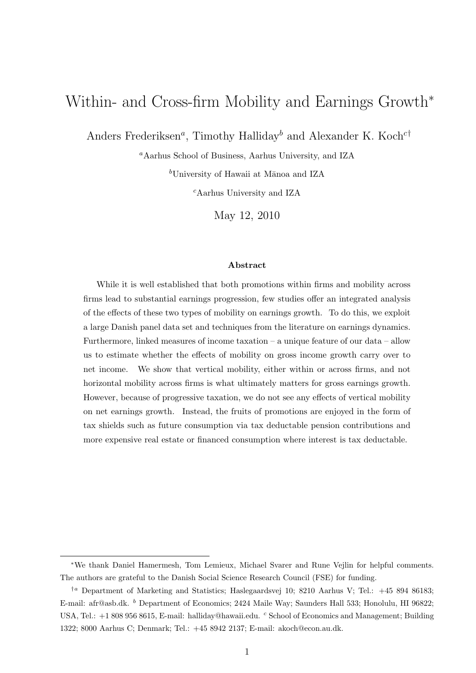# Within- and Cross-firm Mobility and Earnings Growth<sup>∗</sup>

Anders Frederiksen<sup>a</sup>, Timothy Halliday<sup>b</sup> and Alexander K. Koch<sup>c†</sup>

<sup>a</sup>Aarhus School of Business, Aarhus University, and IZA

 $b$ University of Hawaii at Mānoa and IZA

<sup>c</sup>Aarhus University and IZA

May 12, 2010

#### Abstract

While it is well established that both promotions within firms and mobility across firms lead to substantial earnings progression, few studies offer an integrated analysis of the effects of these two types of mobility on earnings growth. To do this, we exploit a large Danish panel data set and techniques from the literature on earnings dynamics. Furthermore, linked measures of income taxation – a unique feature of our data – allow us to estimate whether the effects of mobility on gross income growth carry over to net income. We show that vertical mobility, either within or across firms, and not horizontal mobility across firms is what ultimately matters for gross earnings growth. However, because of progressive taxation, we do not see any effects of vertical mobility on net earnings growth. Instead, the fruits of promotions are enjoyed in the form of tax shields such as future consumption via tax deductable pension contributions and more expensive real estate or financed consumption where interest is tax deductable.

<sup>∗</sup>We thank Daniel Hamermesh, Tom Lemieux, Michael Svarer and Rune Vejlin for helpful comments. The authors are grateful to the Danish Social Science Research Council (FSE) for funding.

<sup>†</sup><sup>a</sup> Department of Marketing and Statistics; Haslegaardsvej 10; 8210 Aarhus V; Tel.: +45 894 86183; E-mail: afr@asb.dk. <sup>b</sup> Department of Economics; 2424 Maile Way; Saunders Hall 533; Honolulu, HI 96822; USA, Tel.: +1 808 956 8615, E-mail: halliday@hawaii.edu. <sup>c</sup> School of Economics and Management; Building 1322; 8000 Aarhus C; Denmark; Tel.: +45 8942 2137; E-mail: akoch@econ.au.dk.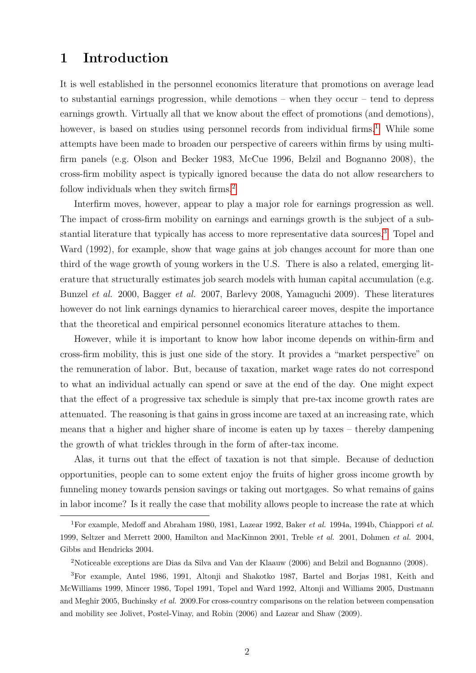# 1 Introduction

It is well established in the personnel economics literature that promotions on average lead to substantial earnings progression, while demotions – when they occur – tend to depress earnings growth. Virtually all that we know about the effect of promotions (and demotions), however, is based on studies using personnel records from individual firms.<sup>[1](#page-1-0)</sup> While some attempts have been made to broaden our perspective of careers within firms by using multifirm panels (e.g. Olson and Becker 1983, McCue 1996, Belzil and Bognanno 2008), the cross-firm mobility aspect is typically ignored because the data do not allow researchers to follow individuals when they switch firms.<sup>[2](#page-1-1)</sup>

Interfirm moves, however, appear to play a major role for earnings progression as well. The impact of cross-firm mobility on earnings and earnings growth is the subject of a substantial literature that typically has access to more representative data sources.[3](#page-1-2) Topel and Ward (1992), for example, show that wage gains at job changes account for more than one third of the wage growth of young workers in the U.S. There is also a related, emerging literature that structurally estimates job search models with human capital accumulation (e.g. Bunzel et al. 2000, Bagger et al. 2007, Barlevy 2008, Yamaguchi 2009). These literatures however do not link earnings dynamics to hierarchical career moves, despite the importance that the theoretical and empirical personnel economics literature attaches to them.

However, while it is important to know how labor income depends on within-firm and cross-firm mobility, this is just one side of the story. It provides a "market perspective" on the remuneration of labor. But, because of taxation, market wage rates do not correspond to what an individual actually can spend or save at the end of the day. One might expect that the effect of a progressive tax schedule is simply that pre-tax income growth rates are attenuated. The reasoning is that gains in gross income are taxed at an increasing rate, which means that a higher and higher share of income is eaten up by taxes – thereby dampening the growth of what trickles through in the form of after-tax income.

Alas, it turns out that the effect of taxation is not that simple. Because of deduction opportunities, people can to some extent enjoy the fruits of higher gross income growth by funneling money towards pension savings or taking out mortgages. So what remains of gains in labor income? Is it really the case that mobility allows people to increase the rate at which

<span id="page-1-0"></span><sup>&</sup>lt;sup>1</sup>For example, Medoff and Abraham 1980, 1981, Lazear 1992, Baker et al. 1994a, 1994b, Chiappori et al. 1999, Seltzer and Merrett 2000, Hamilton and MacKinnon 2001, Treble et al. 2001, Dohmen et al. 2004, Gibbs and Hendricks 2004.

<span id="page-1-2"></span><span id="page-1-1"></span><sup>2</sup>Noticeable exceptions are Dias da Silva and Van der Klaauw (2006) and Belzil and Bognanno (2008).

<sup>3</sup>For example, Antel 1986, 1991, Altonji and Shakotko 1987, Bartel and Borjas 1981, Keith and McWilliams 1999, Mincer 1986, Topel 1991, Topel and Ward 1992, Altonji and Williams 2005, Dustmann and Meghir 2005, Buchinsky et al. 2009.For cross-country comparisons on the relation between compensation and mobility see Jolivet, Postel-Vinay, and Robin (2006) and Lazear and Shaw (2009).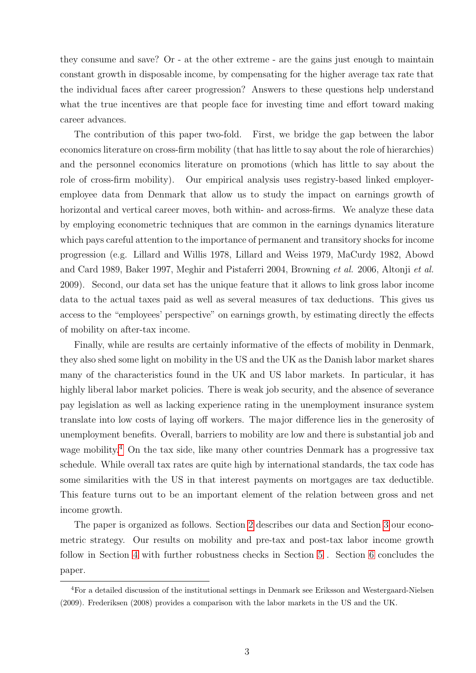they consume and save? Or - at the other extreme - are the gains just enough to maintain constant growth in disposable income, by compensating for the higher average tax rate that the individual faces after career progression? Answers to these questions help understand what the true incentives are that people face for investing time and effort toward making career advances.

The contribution of this paper two-fold. First, we bridge the gap between the labor economics literature on cross-firm mobility (that has little to say about the role of hierarchies) and the personnel economics literature on promotions (which has little to say about the role of cross-firm mobility). Our empirical analysis uses registry-based linked employeremployee data from Denmark that allow us to study the impact on earnings growth of horizontal and vertical career moves, both within- and across-firms. We analyze these data by employing econometric techniques that are common in the earnings dynamics literature which pays careful attention to the importance of permanent and transitory shocks for income progression (e.g. Lillard and Willis 1978, Lillard and Weiss 1979, MaCurdy 1982, Abowd and Card 1989, Baker 1997, Meghir and Pistaferri 2004, Browning et al. 2006, Altonji et al. 2009). Second, our data set has the unique feature that it allows to link gross labor income data to the actual taxes paid as well as several measures of tax deductions. This gives us access to the "employees' perspective" on earnings growth, by estimating directly the effects of mobility on after-tax income.

Finally, while are results are certainly informative of the effects of mobility in Denmark, they also shed some light on mobility in the US and the UK as the Danish labor market shares many of the characteristics found in the UK and US labor markets. In particular, it has highly liberal labor market policies. There is weak job security, and the absence of severance pay legislation as well as lacking experience rating in the unemployment insurance system translate into low costs of laying off workers. The major difference lies in the generosity of unemployment benefits. Overall, barriers to mobility are low and there is substantial job and wage mobility.<sup>[4](#page-2-0)</sup> On the tax side, like many other countries Denmark has a progressive tax schedule. While overall tax rates are quite high by international standards, the tax code has some similarities with the US in that interest payments on mortgages are tax deductible. This feature turns out to be an important element of the relation between gross and net income growth.

The paper is organized as follows. Section [2](#page-3-0) describes our data and Section [3](#page-4-0) our econometric strategy. Our results on mobility and pre-tax and post-tax labor income growth follow in Section [4](#page-6-0) with further robustness checks in Section [5](#page-13-0) . Section [6](#page-15-0) concludes the paper.

<span id="page-2-0"></span><sup>4</sup>For a detailed discussion of the institutional settings in Denmark see Eriksson and Westergaard-Nielsen (2009). Frederiksen (2008) provides a comparison with the labor markets in the US and the UK.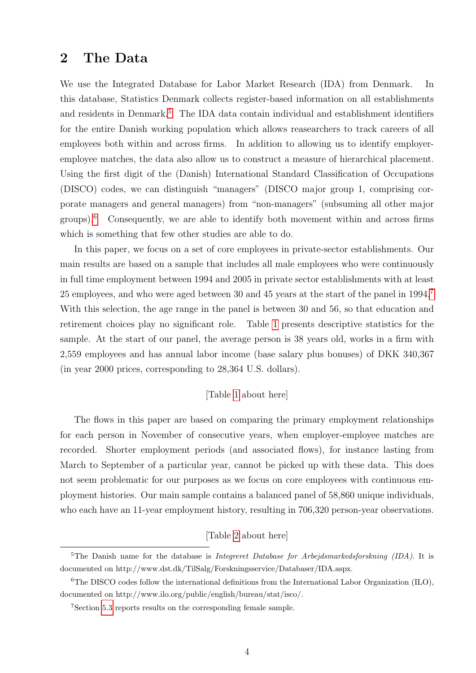# <span id="page-3-0"></span>2 The Data

We use the Integrated Database for Labor Market Research (IDA) from Denmark. In this database, Statistics Denmark collects register-based information on all establishments and residents in Denmark.<sup>[5](#page-3-1)</sup> The IDA data contain individual and establishment identifiers for the entire Danish working population which allows reasearchers to track careers of all employees both within and across firms. In addition to allowing us to identify employeremployee matches, the data also allow us to construct a measure of hierarchical placement. Using the first digit of the (Danish) International Standard Classification of Occupations (DISCO) codes, we can distinguish "managers" (DISCO major group 1, comprising corporate managers and general managers) from "non-managers" (subsuming all other major groups).[6](#page-3-2) Consequently, we are able to identify both movement within and across firms which is something that few other studies are able to do.

In this paper, we focus on a set of core employees in private-sector establishments. Our main results are based on a sample that includes all male employees who were continuously in full time employment between 1994 and 2005 in private sector establishments with at least 25 employees, and who were aged between 30 and 45 years at the start of the panel in 1994.[7](#page-3-3) With this selection, the age range in the panel is between 30 and 56, so that education and retirement choices play no significant role. Table [1](#page-22-0) presents descriptive statistics for the sample. At the start of our panel, the average person is 38 years old, works in a firm with 2,559 employees and has annual labor income (base salary plus bonuses) of DKK 340,367 (in year 2000 prices, corresponding to 28,364 U.S. dollars).

#### [Table [1](#page-22-0) about here]

The flows in this paper are based on comparing the primary employment relationships for each person in November of consecutive years, when employer-employee matches are recorded. Shorter employment periods (and associated flows), for instance lasting from March to September of a particular year, cannot be picked up with these data. This does not seem problematic for our purposes as we focus on core employees with continuous employment histories. Our main sample contains a balanced panel of 58,860 unique individuals, who each have an 11-year employment history, resulting in 706,320 person-year observations.

#### [Table [2](#page-23-0) about here]

<span id="page-3-1"></span><sup>&</sup>lt;sup>5</sup>The Danish name for the database is *Integreret Database for Arbeidsmarkedsforskning (IDA)*. It is documented on http://www.dst.dk/TilSalg/Forskningsservice/Databaser/IDA.aspx.

<span id="page-3-2"></span><sup>6</sup>The DISCO codes follow the international definitions from the International Labor Organization (ILO), documented on http://www.ilo.org/public/english/bureau/stat/isco/.

<span id="page-3-3"></span><sup>7</sup>Section [5.3](#page-14-0) reports results on the corresponding female sample.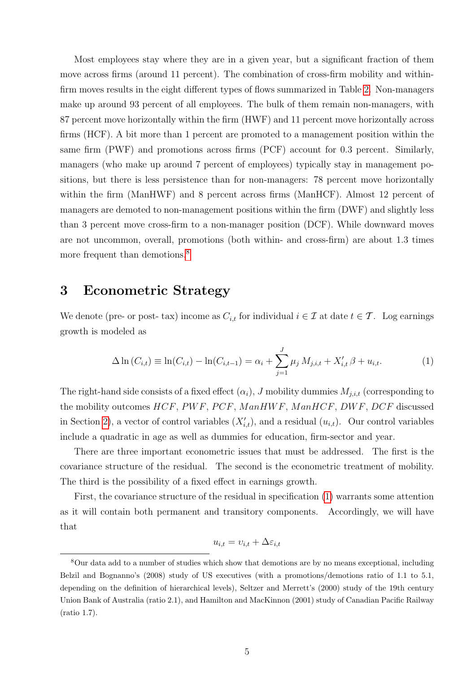Most employees stay where they are in a given year, but a significant fraction of them move across firms (around 11 percent). The combination of cross-firm mobility and withinfirm moves results in the eight different types of flows summarized in Table [2.](#page-23-0) Non-managers make up around 93 percent of all employees. The bulk of them remain non-managers, with 87 percent move horizontally within the firm (HWF) and 11 percent move horizontally across firms (HCF). A bit more than 1 percent are promoted to a management position within the same firm (PWF) and promotions across firms (PCF) account for 0.3 percent. Similarly, managers (who make up around 7 percent of employees) typically stay in management positions, but there is less persistence than for non-managers: 78 percent move horizontally within the firm (ManHWF) and 8 percent across firms (ManHCF). Almost 12 percent of managers are demoted to non-management positions within the firm (DWF) and slightly less than 3 percent move cross-firm to a non-manager position (DCF). While downward moves are not uncommon, overall, promotions (both within- and cross-firm) are about 1.3 times more frequent than demotions.<sup>[8](#page-4-1)</sup>

# <span id="page-4-0"></span>3 Econometric Strategy

We denote (pre- or post- tax) income as  $C_{i,t}$  for individual  $i \in \mathcal{I}$  at date  $t \in \mathcal{T}$ . Log earnings growth is modeled as

<span id="page-4-2"></span>
$$
\Delta \ln(C_{i,t}) \equiv \ln(C_{i,t}) - \ln(C_{i,t-1}) = \alpha_i + \sum_{j=1}^{J} \mu_j M_{j,i,t} + X'_{i,t} \beta + u_{i,t}.
$$
 (1)

The right-hand side consists of a fixed effect  $(\alpha_i)$ , J mobility dummies  $M_{j,i,t}$  (corresponding to the mobility outcomes HCF, PWF, PCF, ManHWF, ManHCF, DWF, DCF discussed in Section [2\)](#page-3-0), a vector of control variables  $(X'_{i,t})$ , and a residual  $(u_{i,t})$ . Our control variables include a quadratic in age as well as dummies for education, firm-sector and year.

There are three important econometric issues that must be addressed. The first is the covariance structure of the residual. The second is the econometric treatment of mobility. The third is the possibility of a fixed effect in earnings growth.

First, the covariance structure of the residual in specification [\(1\)](#page-4-2) warrants some attention as it will contain both permanent and transitory components. Accordingly, we will have that

$$
u_{i,t} = v_{i,t} + \Delta\varepsilon_{i,t}
$$

<span id="page-4-1"></span><sup>8</sup>Our data add to a number of studies which show that demotions are by no means exceptional, including Belzil and Bognanno's (2008) study of US executives (with a promotions/demotions ratio of 1.1 to 5.1, depending on the definition of hierarchical levels), Seltzer and Merrett's (2000) study of the 19th century Union Bank of Australia (ratio 2.1), and Hamilton and MacKinnon (2001) study of Canadian Pacific Railway (ratio 1.7).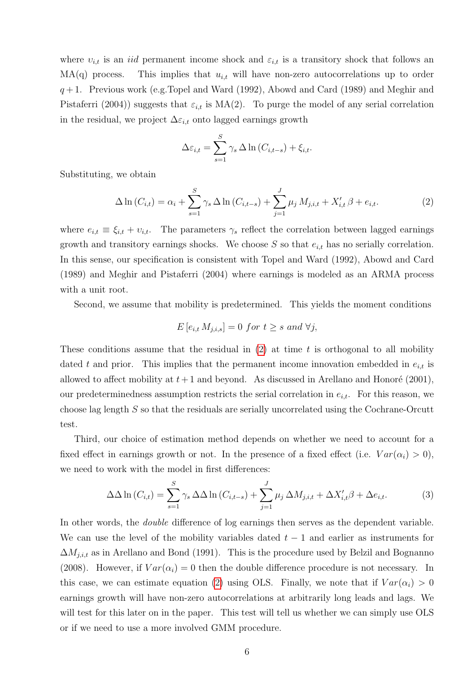where  $v_{i,t}$  is an *iid* permanent income shock and  $\varepsilon_{i,t}$  is a transitory shock that follows an  $MA(q)$  process. This implies that  $u_{i,t}$  will have non-zero autocorrelations up to order  $q+1$ . Previous work (e.g. Topel and Ward (1992), Abowd and Card (1989) and Meghir and Pistaferri (2004)) suggests that  $\varepsilon_{i,t}$  is MA(2). To purge the model of any serial correlation in the residual, we project  $\Delta \varepsilon_{i,t}$  onto lagged earnings growth

$$
\Delta \varepsilon_{i,t} = \sum_{s=1}^{S} \gamma_s \Delta \ln \left( C_{i,t-s} \right) + \xi_{i,t}.
$$

Substituting, we obtain

<span id="page-5-0"></span>
$$
\Delta \ln(C_{i,t}) = \alpha_i + \sum_{s=1}^{S} \gamma_s \Delta \ln(C_{i,t-s}) + \sum_{j=1}^{J} \mu_j M_{j,i,t} + X'_{i,t} \beta + e_{i,t}.
$$
 (2)

where  $e_{i,t} \equiv \xi_{i,t} + v_{i,t}$ . The parameters  $\gamma_s$  reflect the correlation between lagged earnings growth and transitory earnings shocks. We choose  $S$  so that  $e_{i,t}$  has no serially correlation. In this sense, our specification is consistent with Topel and Ward (1992), Abowd and Card (1989) and Meghir and Pistaferri (2004) where earnings is modeled as an ARMA process with a unit root.

Second, we assume that mobility is predetermined. This yields the moment conditions

$$
E[e_{i,t} M_{j,i,s}] = 0 \text{ for } t \ge s \text{ and } \forall j,
$$

These conditions assume that the residual in  $(2)$  at time t is orthogonal to all mobility dated t and prior. This implies that the permanent income innovation embedded in  $e_{i,t}$  is allowed to affect mobility at  $t+1$  and beyond. As discussed in Arellano and Honoré (2001), our predeterminedness assumption restricts the serial correlation in  $e_{i,t}$ . For this reason, we choose lag length S so that the residuals are serially uncorrelated using the Cochrane-Orcutt test.

Third, our choice of estimation method depends on whether we need to account for a fixed effect in earnings growth or not. In the presence of a fixed effect (i.e.  $Var(\alpha_i) > 0$ ), we need to work with the model in first differences:

<span id="page-5-1"></span>
$$
\Delta\Delta\ln\left(C_{i,t}\right) = \sum_{s=1}^{S} \gamma_s \Delta\Delta\ln\left(C_{i,t-s}\right) + \sum_{j=1}^{J} \mu_j \Delta M_{j,i,t} + \Delta X'_{i,t}\beta + \Delta e_{i,t}.\tag{3}
$$

In other words, the double difference of log earnings then serves as the dependent variable. We can use the level of the mobility variables dated  $t-1$  and earlier as instruments for  $\Delta M_{j,i,t}$  as in Arellano and Bond (1991). This is the procedure used by Belzil and Bognanno (2008). However, if  $Var(\alpha_i) = 0$  then the double difference procedure is not necessary. In this case, we can estimate equation [\(2\)](#page-5-0) using OLS. Finally, we note that if  $Var(\alpha_i) > 0$ earnings growth will have non-zero autocorrelations at arbitrarily long leads and lags. We will test for this later on in the paper. This test will tell us whether we can simply use OLS or if we need to use a more involved GMM procedure.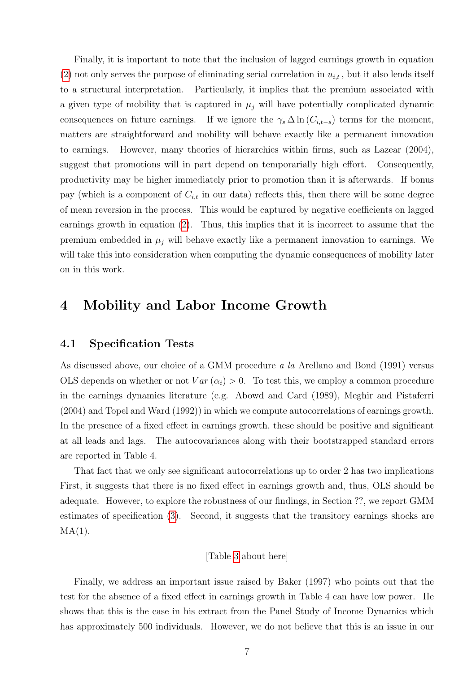Finally, it is important to note that the inclusion of lagged earnings growth in equation [\(2\)](#page-5-0) not only serves the purpose of eliminating serial correlation in  $u_{i,t}$ , but it also lends itself to a structural interpretation. Particularly, it implies that the premium associated with a given type of mobility that is captured in  $\mu_j$  will have potentially complicated dynamic consequences on future earnings. If we ignore the  $\gamma_s \Delta \ln(C_{i,t-s})$  terms for the moment, matters are straightforward and mobility will behave exactly like a permanent innovation to earnings. However, many theories of hierarchies within firms, such as Lazear (2004), suggest that promotions will in part depend on temporarially high effort. Consequently, productivity may be higher immediately prior to promotion than it is afterwards. If bonus pay (which is a component of  $C_{i,t}$  in our data) reflects this, then there will be some degree of mean reversion in the process. This would be captured by negative coefficients on lagged earnings growth in equation [\(2\)](#page-5-0). Thus, this implies that it is incorrect to assume that the premium embedded in  $\mu_i$  will behave exactly like a permanent innovation to earnings. We will take this into consideration when computing the dynamic consequences of mobility later on in this work.

# <span id="page-6-0"></span>4 Mobility and Labor Income Growth

### 4.1 Specification Tests

As discussed above, our choice of a GMM procedure a la Arellano and Bond (1991) versus OLS depends on whether or not  $Var(\alpha_i) > 0$ . To test this, we employ a common procedure in the earnings dynamics literature (e.g. Abowd and Card (1989), Meghir and Pistaferri (2004) and Topel and Ward (1992)) in which we compute autocorrelations of earnings growth. In the presence of a fixed effect in earnings growth, these should be positive and significant at all leads and lags. The autocovariances along with their bootstrapped standard errors are reported in Table 4.

That fact that we only see significant autocorrelations up to order 2 has two implications First, it suggests that there is no fixed effect in earnings growth and, thus, OLS should be adequate. However, to explore the robustness of our findings, in Section ??, we report GMM estimates of specification [\(3\)](#page-5-1). Second, it suggests that the transitory earnings shocks are  $MA(1)$ .

#### [Table [3](#page-23-1) about here]

Finally, we address an important issue raised by Baker (1997) who points out that the test for the absence of a fixed effect in earnings growth in Table 4 can have low power. He shows that this is the case in his extract from the Panel Study of Income Dynamics which has approximately 500 individuals. However, we do not believe that this is an issue in our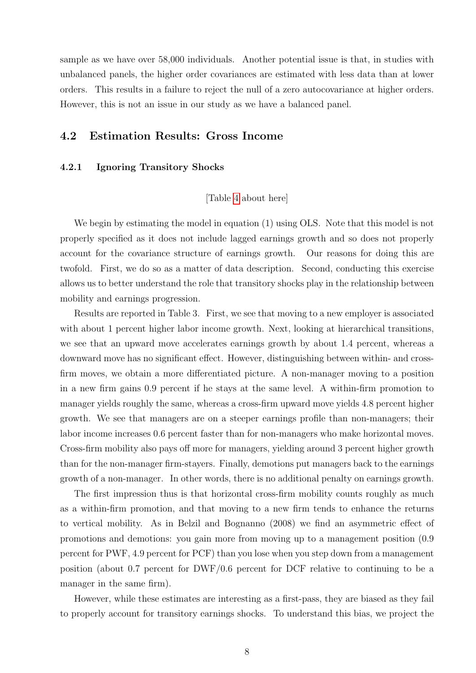sample as we have over 58,000 individuals. Another potential issue is that, in studies with unbalanced panels, the higher order covariances are estimated with less data than at lower orders. This results in a failure to reject the null of a zero autocovariance at higher orders. However, this is not an issue in our study as we have a balanced panel.

## 4.2 Estimation Results: Gross Income

#### 4.2.1 Ignoring Transitory Shocks

### [Table [4](#page-24-0) about here]

We begin by estimating the model in equation (1) using OLS. Note that this model is not properly specified as it does not include lagged earnings growth and so does not properly account for the covariance structure of earnings growth. Our reasons for doing this are twofold. First, we do so as a matter of data description. Second, conducting this exercise allows us to better understand the role that transitory shocks play in the relationship between mobility and earnings progression.

Results are reported in Table 3. First, we see that moving to a new employer is associated with about 1 percent higher labor income growth. Next, looking at hierarchical transitions, we see that an upward move accelerates earnings growth by about 1.4 percent, whereas a downward move has no significant effect. However, distinguishing between within- and crossfirm moves, we obtain a more differentiated picture. A non-manager moving to a position in a new firm gains 0.9 percent if he stays at the same level. A within-firm promotion to manager yields roughly the same, whereas a cross-firm upward move yields 4.8 percent higher growth. We see that managers are on a steeper earnings profile than non-managers; their labor income increases 0.6 percent faster than for non-managers who make horizontal moves. Cross-firm mobility also pays off more for managers, yielding around 3 percent higher growth than for the non-manager firm-stayers. Finally, demotions put managers back to the earnings growth of a non-manager. In other words, there is no additional penalty on earnings growth.

The first impression thus is that horizontal cross-firm mobility counts roughly as much as a within-firm promotion, and that moving to a new firm tends to enhance the returns to vertical mobility. As in Belzil and Bognanno (2008) we find an asymmetric effect of promotions and demotions: you gain more from moving up to a management position (0.9 percent for PWF, 4.9 percent for PCF) than you lose when you step down from a management position (about 0.7 percent for DWF/0.6 percent for DCF relative to continuing to be a manager in the same firm).

However, while these estimates are interesting as a first-pass, they are biased as they fail to properly account for transitory earnings shocks. To understand this bias, we project the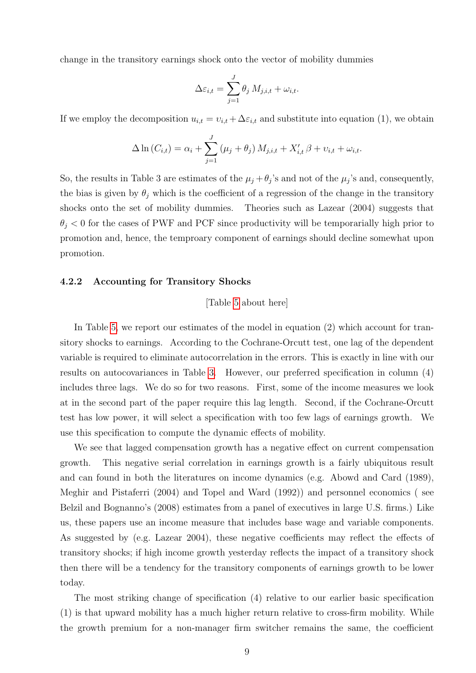change in the transitory earnings shock onto the vector of mobility dummies

$$
\Delta \varepsilon_{i,t} = \sum_{j=1}^{J} \theta_j M_{j,i,t} + \omega_{i,t}.
$$

If we employ the decomposition  $u_{i,t} = v_{i,t} + \Delta \varepsilon_{i,t}$  and substitute into equation (1), we obtain

$$
\Delta \ln(C_{i,t}) = \alpha_i + \sum_{j=1}^{J} (\mu_j + \theta_j) M_{j,i,t} + X'_{i,t} \beta + \nu_{i,t} + \omega_{i,t}.
$$

So, the results in Table 3 are estimates of the  $\mu_j + \theta_j$ 's and not of the  $\mu_j$ 's and, consequently, the bias is given by  $\theta_j$  which is the coefficient of a regression of the change in the transitory shocks onto the set of mobility dummies. Theories such as Lazear (2004) suggests that  $\theta_i$  < 0 for the cases of PWF and PCF since productivity will be temporarially high prior to promotion and, hence, the temproary component of earnings should decline somewhat upon promotion.

#### 4.2.2 Accounting for Transitory Shocks

#### [Table [5](#page-25-0) about here]

In Table [5,](#page-25-0) we report our estimates of the model in equation (2) which account for transitory shocks to earnings. According to the Cochrane-Orcutt test, one lag of the dependent variable is required to eliminate autocorrelation in the errors. This is exactly in line with our results on autocovariances in Table [3.](#page-23-1) However, our preferred specification in column (4) includes three lags. We do so for two reasons. First, some of the income measures we look at in the second part of the paper require this lag length. Second, if the Cochrane-Orcutt test has low power, it will select a specification with too few lags of earnings growth. We use this specification to compute the dynamic effects of mobility.

We see that lagged compensation growth has a negative effect on current compensation growth. This negative serial correlation in earnings growth is a fairly ubiquitous result and can found in both the literatures on income dynamics (e.g. Abowd and Card (1989), Meghir and Pistaferri (2004) and Topel and Ward (1992)) and personnel economics ( see Belzil and Bognanno's (2008) estimates from a panel of executives in large U.S. firms.) Like us, these papers use an income measure that includes base wage and variable components. As suggested by (e.g. Lazear 2004), these negative coefficients may reflect the effects of transitory shocks; if high income growth yesterday reflects the impact of a transitory shock then there will be a tendency for the transitory components of earnings growth to be lower today.

The most striking change of specification (4) relative to our earlier basic specification (1) is that upward mobility has a much higher return relative to cross-firm mobility. While the growth premium for a non-manager firm switcher remains the same, the coefficient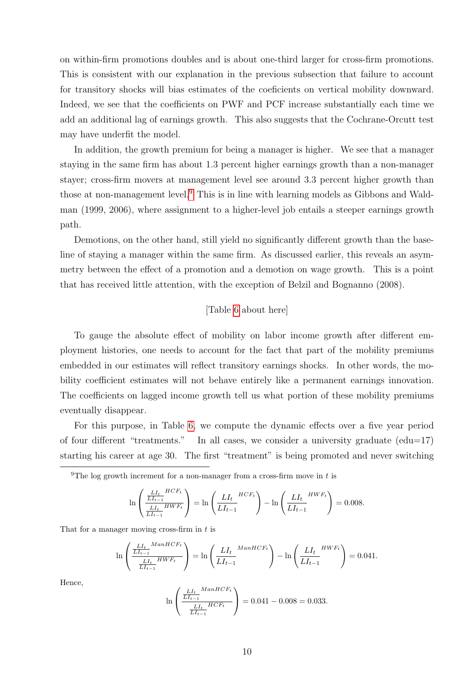on within-firm promotions doubles and is about one-third larger for cross-firm promotions. This is consistent with our explanation in the previous subsection that failure to account for transitory shocks will bias estimates of the coeficients on vertical mobility downward. Indeed, we see that the coefficients on PWF and PCF increase substantially each time we add an additional lag of earnings growth. This also suggests that the Cochrane-Orcutt test may have underfit the model.

In addition, the growth premium for being a manager is higher. We see that a manager staying in the same firm has about 1.3 percent higher earnings growth than a non-manager stayer; cross-firm movers at management level see around 3.3 percent higher growth than those at non-management level.<sup>[9](#page-9-0)</sup> This is in line with learning models as Gibbons and Waldman (1999, 2006), where assignment to a higher-level job entails a steeper earnings growth path.

Demotions, on the other hand, still yield no significantly different growth than the baseline of staying a manager within the same firm. As discussed earlier, this reveals an asymmetry between the effect of a promotion and a demotion on wage growth. This is a point that has received little attention, with the exception of Belzil and Bognanno (2008).

#### [Table [6](#page-26-0) about here]

To gauge the absolute effect of mobility on labor income growth after different employment histories, one needs to account for the fact that part of the mobility premiums embedded in our estimates will reflect transitory earnings shocks. In other words, the mobility coefficient estimates will not behave entirely like a permanent earnings innovation. The coefficients on lagged income growth tell us what portion of these mobility premiums eventually disappear.

For this purpose, in Table [6,](#page-26-0) we compute the dynamic effects over a five year period of four different "treatments." In all cases, we consider a university graduate (edu=17) starting his career at age 30. The first "treatment" is being promoted and never switching

<span id="page-9-0"></span><sup>9</sup>The log growth increment for a non-manager from a cross-firm move in  $t$  is

$$
\ln\left(\frac{\frac{LI_{t}}{LI_{t-1}}^{HCF_{t}}}{\frac{LI_{t}}{LI_{t-1}}^{HWF_{t}}}\right) = \ln\left(\frac{LI_{t}}{LI_{t-1}}^{HCF_{t}}\right) - \ln\left(\frac{LI_{t}}{LI_{t-1}}^{HWF_{t}}\right) = 0.008.
$$

That for a manager moving cross-firm in  $t$  is

$$
\ln \left( \frac{\frac{LI_t}{LI_{t-1}}^{ManHCF_t}}{\frac{LI_t}{LI_{t-1}}^{HWF_t}} \right) = \ln \left( \frac{LI_t}{LI_{t-1}}^{ManHCF_t} \right) - \ln \left( \frac{LI_t}{LI_{t-1}}^{HWF_t} \right) = 0.041.
$$

Hence,

$$
\ln\left(\frac{\frac{LI_t}{LI_{t-1}}^{ManHCF_t}}{\frac{LI_t}{LI_{t-1}}^{HCF_t}}\right) = 0.041 - 0.008 = 0.033.
$$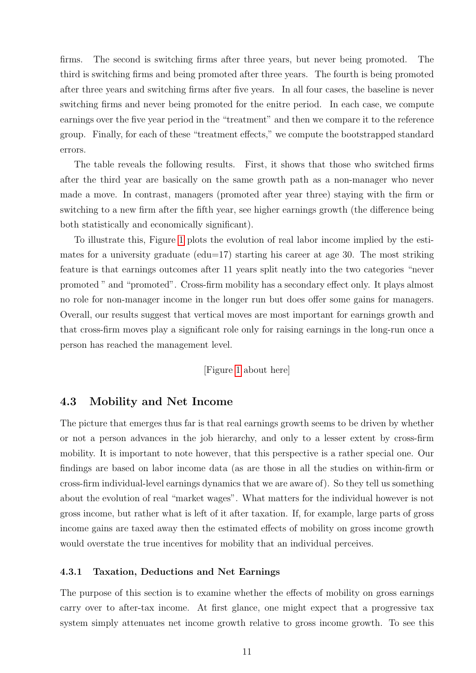firms. The second is switching firms after three years, but never being promoted. The third is switching firms and being promoted after three years. The fourth is being promoted after three years and switching firms after five years. In all four cases, the baseline is never switching firms and never being promoted for the enitre period. In each case, we compute earnings over the five year period in the "treatment" and then we compare it to the reference group. Finally, for each of these "treatment effects," we compute the bootstrapped standard errors.

The table reveals the following results. First, it shows that those who switched firms after the third year are basically on the same growth path as a non-manager who never made a move. In contrast, managers (promoted after year three) staying with the firm or switching to a new firm after the fifth year, see higher earnings growth (the difference being both statistically and economically significant).

To illustrate this, Figure [1](#page-26-1) plots the evolution of real labor income implied by the estimates for a university graduate ( $edu=17$ ) starting his career at age 30. The most striking feature is that earnings outcomes after 11 years split neatly into the two categories "never promoted " and "promoted". Cross-firm mobility has a secondary effect only. It plays almost no role for non-manager income in the longer run but does offer some gains for managers. Overall, our results suggest that vertical moves are most important for earnings growth and that cross-firm moves play a significant role only for raising earnings in the long-run once a person has reached the management level.

[Figure [1](#page-26-1) about here]

## 4.3 Mobility and Net Income

The picture that emerges thus far is that real earnings growth seems to be driven by whether or not a person advances in the job hierarchy, and only to a lesser extent by cross-firm mobility. It is important to note however, that this perspective is a rather special one. Our findings are based on labor income data (as are those in all the studies on within-firm or cross-firm individual-level earnings dynamics that we are aware of). So they tell us something about the evolution of real "market wages". What matters for the individual however is not gross income, but rather what is left of it after taxation. If, for example, large parts of gross income gains are taxed away then the estimated effects of mobility on gross income growth would overstate the true incentives for mobility that an individual perceives.

#### 4.3.1 Taxation, Deductions and Net Earnings

The purpose of this section is to examine whether the effects of mobility on gross earnings carry over to after-tax income. At first glance, one might expect that a progressive tax system simply attenuates net income growth relative to gross income growth. To see this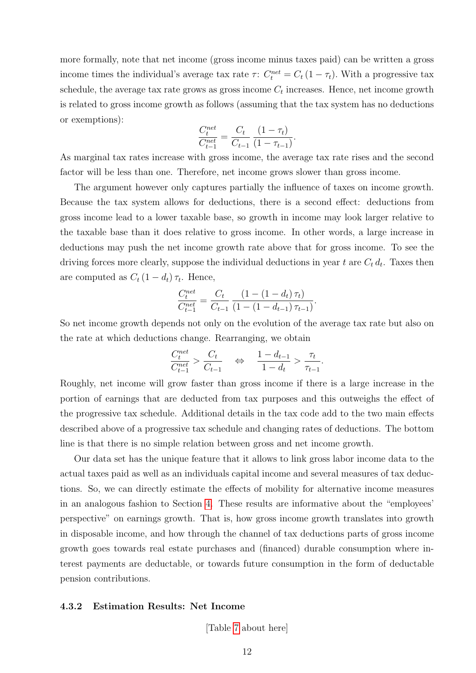more formally, note that net income (gross income minus taxes paid) can be written a gross income times the individual's average tax rate  $\tau$ :  $C_t^{net} = C_t (1 - \tau_t)$ . With a progressive tax schedule, the average tax rate grows as gross income  $C_t$  increases. Hence, net income growth is related to gross income growth as follows (assuming that the tax system has no deductions or exemptions):

$$
\frac{C_t^{net}}{C_{t-1}^{net}} = \frac{C_t}{C_{t-1}} \frac{(1 - \tau_t)}{(1 - \tau_{t-1})}.
$$

As marginal tax rates increase with gross income, the average tax rate rises and the second factor will be less than one. Therefore, net income grows slower than gross income.

The argument however only captures partially the influence of taxes on income growth. Because the tax system allows for deductions, there is a second effect: deductions from gross income lead to a lower taxable base, so growth in income may look larger relative to the taxable base than it does relative to gross income. In other words, a large increase in deductions may push the net income growth rate above that for gross income. To see the driving forces more clearly, suppose the individual deductions in year  $t$  are  $C_t d_t$ . Taxes then are computed as  $C_t (1 - d_t) \tau_t$ . Hence,

$$
\frac{C_t^{net}}{C_{t-1}^{net}} = \frac{C_t}{C_{t-1}} \frac{\left(1 - \left(1 - d_t\right)\tau_t\right)}{\left(1 - \left(1 - d_{t-1}\right)\tau_{t-1}\right)}.
$$

So net income growth depends not only on the evolution of the average tax rate but also on the rate at which deductions change. Rearranging, we obtain

$$
\frac{C^{net}_{t}}{C^{net}_{t-1}} > \frac{C_t}{C_{t-1}} \quad \Leftrightarrow \quad \frac{1-d_{t-1}}{1-d_{t}} > \frac{\tau_t}{\tau_{t-1}}.
$$

Roughly, net income will grow faster than gross income if there is a large increase in the portion of earnings that are deducted from tax purposes and this outweighs the effect of the progressive tax schedule. Additional details in the tax code add to the two main effects described above of a progressive tax schedule and changing rates of deductions. The bottom line is that there is no simple relation between gross and net income growth.

Our data set has the unique feature that it allows to link gross labor income data to the actual taxes paid as well as an individuals capital income and several measures of tax deductions. So, we can directly estimate the effects of mobility for alternative income measures in an analogous fashion to Section [4.](#page-6-0) These results are informative about the "employees' perspective" on earnings growth. That is, how gross income growth translates into growth in disposable income, and how through the channel of tax deductions parts of gross income growth goes towards real estate purchases and (financed) durable consumption where interest payments are deductable, or towards future consumption in the form of deductable pension contributions.

#### 4.3.2 Estimation Results: Net Income

[Table [7](#page-27-0) about here]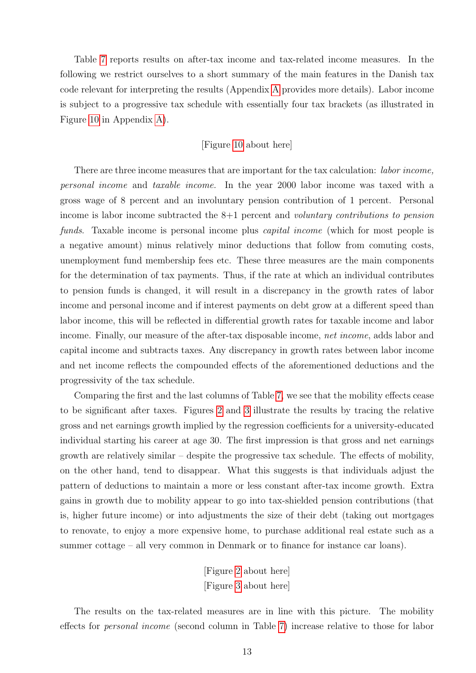Table [7](#page-27-0) reports results on after-tax income and tax-related income measures. In the following we restrict ourselves to a short summary of the main features in the Danish tax code relevant for interpreting the results (Appendix [A](#page-15-1) provides more details). Labor income is subject to a progressive tax schedule with essentially four tax brackets (as illustrated in Figure [10](#page-38-0) in Appendix [A\)](#page-15-1).

#### [Figure [10](#page-38-0) about here]

There are three income measures that are important for the tax calculation: *labor income*, personal income and taxable income. In the year 2000 labor income was taxed with a gross wage of 8 percent and an involuntary pension contribution of 1 percent. Personal income is labor income subtracted the 8+1 percent and voluntary contributions to pension funds. Taxable income is personal income plus *capital income* (which for most people is a negative amount) minus relatively minor deductions that follow from comuting costs, unemployment fund membership fees etc. These three measures are the main components for the determination of tax payments. Thus, if the rate at which an individual contributes to pension funds is changed, it will result in a discrepancy in the growth rates of labor income and personal income and if interest payments on debt grow at a different speed than labor income, this will be reflected in differential growth rates for taxable income and labor income. Finally, our measure of the after-tax disposable income, net income, adds labor and capital income and subtracts taxes. Any discrepancy in growth rates between labor income and net income reflects the compounded effects of the aforementioned deductions and the progressivity of the tax schedule.

Comparing the first and the last columns of Table [7,](#page-27-0) we see that the mobility effects cease to be significant after taxes. Figures [2](#page-28-0) and [3](#page-28-1) illustrate the results by tracing the relative gross and net earnings growth implied by the regression coefficients for a university-educated individual starting his career at age 30. The first impression is that gross and net earnings growth are relatively similar – despite the progressive tax schedule. The effects of mobility, on the other hand, tend to disappear. What this suggests is that individuals adjust the pattern of deductions to maintain a more or less constant after-tax income growth. Extra gains in growth due to mobility appear to go into tax-shielded pension contributions (that is, higher future income) or into adjustments the size of their debt (taking out mortgages to renovate, to enjoy a more expensive home, to purchase additional real estate such as a summer cottage – all very common in Denmark or to finance for instance car loans).

> [Figure [2](#page-28-0) about here] [Figure [3](#page-28-1) about here]

The results on the tax-related measures are in line with this picture. The mobility effects for personal income (second column in Table [7\)](#page-27-0) increase relative to those for labor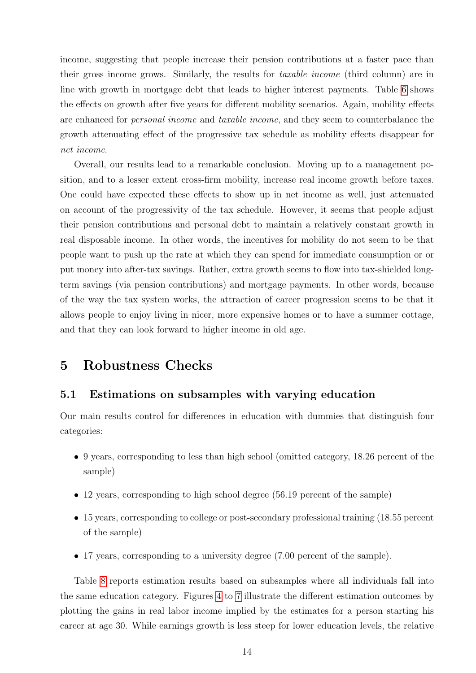income, suggesting that people increase their pension contributions at a faster pace than their gross income grows. Similarly, the results for taxable income (third column) are in line with growth in mortgage debt that leads to higher interest payments. Table [6](#page-26-0) shows the effects on growth after five years for different mobility scenarios. Again, mobility effects are enhanced for personal income and taxable income, and they seem to counterbalance the growth attenuating effect of the progressive tax schedule as mobility effects disappear for net income.

Overall, our results lead to a remarkable conclusion. Moving up to a management position, and to a lesser extent cross-firm mobility, increase real income growth before taxes. One could have expected these effects to show up in net income as well, just attenuated on account of the progressivity of the tax schedule. However, it seems that people adjust their pension contributions and personal debt to maintain a relatively constant growth in real disposable income. In other words, the incentives for mobility do not seem to be that people want to push up the rate at which they can spend for immediate consumption or or put money into after-tax savings. Rather, extra growth seems to flow into tax-shielded longterm savings (via pension contributions) and mortgage payments. In other words, because of the way the tax system works, the attraction of career progression seems to be that it allows people to enjoy living in nicer, more expensive homes or to have a summer cottage, and that they can look forward to higher income in old age.

## <span id="page-13-0"></span>5 Robustness Checks

## 5.1 Estimations on subsamples with varying education

Our main results control for differences in education with dummies that distinguish four categories:

- 9 years, corresponding to less than high school (omitted category, 18.26 percent of the sample)
- 12 years, corresponding to high school degree (56.19 percent of the sample)
- 15 years, corresponding to college or post-secondary professional training (18.55 percent of the sample)
- 17 years, corresponding to a university degree (7.00 percent of the sample).

Table [8](#page-29-0) reports estimation results based on subsamples where all individuals fall into the same education category. Figures [4](#page-30-0) to [7](#page-31-0) illustrate the different estimation outcomes by plotting the gains in real labor income implied by the estimates for a person starting his career at age 30. While earnings growth is less steep for lower education levels, the relative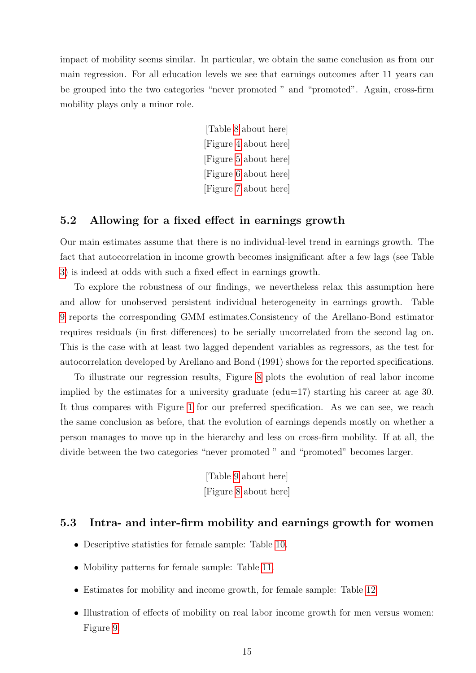impact of mobility seems similar. In particular, we obtain the same conclusion as from our main regression. For all education levels we see that earnings outcomes after 11 years can be grouped into the two categories "never promoted " and "promoted". Again, cross-firm mobility plays only a minor role.

> [Table [8](#page-29-0) about here] [Figure [4](#page-30-0) about here] [Figure [5](#page-30-1) about here] [Figure [6](#page-31-1) about here] [Figure [7](#page-31-0) about here]

## 5.2 Allowing for a fixed effect in earnings growth

Our main estimates assume that there is no individual-level trend in earnings growth. The fact that autocorrelation in income growth becomes insignificant after a few lags (see Table [3\)](#page-23-1) is indeed at odds with such a fixed effect in earnings growth.

To explore the robustness of our findings, we nevertheless relax this assumption here and allow for unobserved persistent individual heterogeneity in earnings growth. Table [9](#page-32-0) reports the corresponding GMM estimates.Consistency of the Arellano-Bond estimator requires residuals (in first differences) to be serially uncorrelated from the second lag on. This is the case with at least two lagged dependent variables as regressors, as the test for autocorrelation developed by Arellano and Bond (1991) shows for the reported specifications.

To illustrate our regression results, Figure [8](#page-33-0) plots the evolution of real labor income implied by the estimates for a university graduate ( $edu=17$ ) starting his career at age 30. It thus compares with Figure [1](#page-26-1) for our preferred specification. As we can see, we reach the same conclusion as before, that the evolution of earnings depends mostly on whether a person manages to move up in the hierarchy and less on cross-firm mobility. If at all, the divide between the two categories "never promoted" and "promoted" becomes larger.

> [Table [9](#page-32-0) about here] [Figure [8](#page-33-0) about here]

## <span id="page-14-0"></span>5.3 Intra- and inter-firm mobility and earnings growth for women

- Descriptive statistics for female sample: Table [10.](#page-34-0)
- Mobility patterns for female sample: Table [11.](#page-35-0)
- Estimates for mobility and income growth, for female sample: Table [12.](#page-37-0)
- Illustration of effects of mobility on real labor income growth for men versus women: Figure [9.](#page-36-0)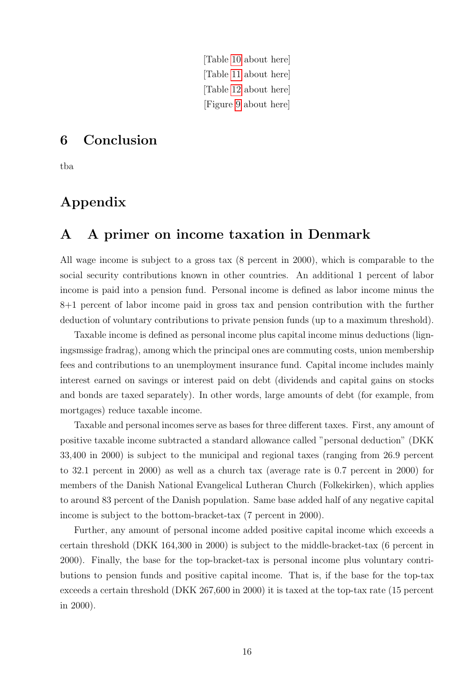[Table [10](#page-34-0) about here] [Table [11](#page-35-0) about here] [Table [12](#page-37-0) about here] [Figure [9](#page-36-0) about here]

# <span id="page-15-0"></span>6 Conclusion

tba

# Appendix

## <span id="page-15-1"></span>A A primer on income taxation in Denmark

All wage income is subject to a gross tax (8 percent in 2000), which is comparable to the social security contributions known in other countries. An additional 1 percent of labor income is paid into a pension fund. Personal income is defined as labor income minus the 8+1 percent of labor income paid in gross tax and pension contribution with the further deduction of voluntary contributions to private pension funds (up to a maximum threshold).

Taxable income is defined as personal income plus capital income minus deductions (ligningsmssige fradrag), among which the principal ones are commuting costs, union membership fees and contributions to an unemployment insurance fund. Capital income includes mainly interest earned on savings or interest paid on debt (dividends and capital gains on stocks and bonds are taxed separately). In other words, large amounts of debt (for example, from mortgages) reduce taxable income.

Taxable and personal incomes serve as bases for three different taxes. First, any amount of positive taxable income subtracted a standard allowance called "personal deduction" (DKK 33,400 in 2000) is subject to the municipal and regional taxes (ranging from 26.9 percent to 32.1 percent in 2000) as well as a church tax (average rate is 0.7 percent in 2000) for members of the Danish National Evangelical Lutheran Church (Folkekirken), which applies to around 83 percent of the Danish population. Same base added half of any negative capital income is subject to the bottom-bracket-tax (7 percent in 2000).

Further, any amount of personal income added positive capital income which exceeds a certain threshold (DKK 164,300 in 2000) is subject to the middle-bracket-tax (6 percent in 2000). Finally, the base for the top-bracket-tax is personal income plus voluntary contributions to pension funds and positive capital income. That is, if the base for the top-tax exceeds a certain threshold (DKK 267,600 in 2000) it is taxed at the top-tax rate (15 percent in 2000).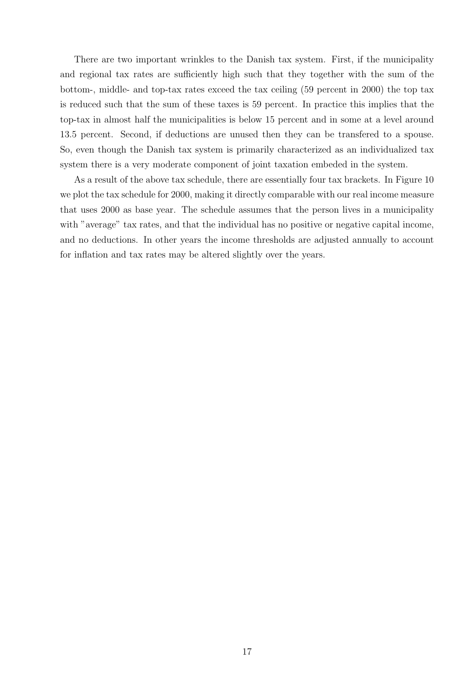There are two important wrinkles to the Danish tax system. First, if the municipality and regional tax rates are sufficiently high such that they together with the sum of the bottom-, middle- and top-tax rates exceed the tax ceiling (59 percent in 2000) the top tax is reduced such that the sum of these taxes is 59 percent. In practice this implies that the top-tax in almost half the municipalities is below 15 percent and in some at a level around 13.5 percent. Second, if deductions are unused then they can be transfered to a spouse. So, even though the Danish tax system is primarily characterized as an individualized tax system there is a very moderate component of joint taxation embeded in the system.

As a result of the above tax schedule, there are essentially four tax brackets. In Figure 10 we plot the tax schedule for 2000, making it directly comparable with our real income measure that uses 2000 as base year. The schedule assumes that the person lives in a municipality with "average" tax rates, and that the individual has no positive or negative capital income, and no deductions. In other years the income thresholds are adjusted annually to account for inflation and tax rates may be altered slightly over the years.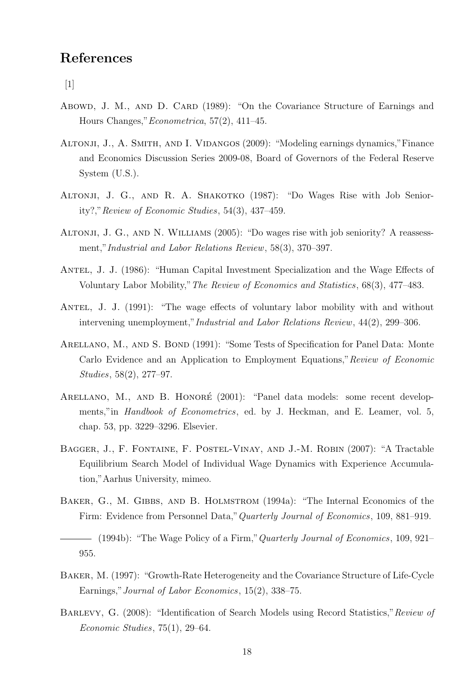# References

 $\lceil 1 \rceil$ 

- Abowd, J. M., AND D. CARD (1989): "On the Covariance Structure of Earnings and Hours Changes,"Econometrica, 57(2), 411–45.
- Altonji, J., A. Smith, and I. Vidangos (2009): "Modeling earnings dynamics,"Finance and Economics Discussion Series 2009-08, Board of Governors of the Federal Reserve System (U.S.).
- ALTONJI, J. G., AND R. A. SHAKOTKO (1987): "Do Wages Rise with Job Seniority?,"Review of Economic Studies, 54(3), 437–459.
- ALTONJI, J. G., AND N. WILLIAMS (2005): "Do wages rise with job seniority? A reassessment,"Industrial and Labor Relations Review, 58(3), 370–397.
- ANTEL, J. J. (1986): "Human Capital Investment Specialization and the Wage Effects of Voluntary Labor Mobility,"The Review of Economics and Statistics, 68(3), 477–483.
- ANTEL, J. J. (1991): "The wage effects of voluntary labor mobility with and without intervening unemployment,"Industrial and Labor Relations Review, 44(2), 299–306.
- ARELLANO, M., AND S. BOND (1991): "Some Tests of Specification for Panel Data: Monte Carlo Evidence and an Application to Employment Equations,"Review of Economic Studies, 58(2), 277–97.
- ARELLANO, M., AND B. HONORÉ (2001): "Panel data models: some recent developments," in *Handbook of Econometrics*, ed. by J. Heckman, and E. Leamer, vol. 5, chap. 53, pp. 3229–3296. Elsevier.
- Bagger, J., F. Fontaine, F. Postel-Vinay, and J.-M. Robin (2007): "A Tractable Equilibrium Search Model of Individual Wage Dynamics with Experience Accumulation,"Aarhus University, mimeo.
- BAKER, G., M. GIBBS, AND B. HOLMSTROM (1994a): "The Internal Economics of the Firm: Evidence from Personnel Data,"Quarterly Journal of Economics, 109, 881–919.

 $-$  (1994b): "The Wage Policy of a Firm," Quarterly Journal of Economics, 109, 921– 955.

- Baker, M. (1997): "Growth-Rate Heterogeneity and the Covariance Structure of Life-Cycle Earnings,"Journal of Labor Economics, 15(2), 338–75.
- BARLEVY, G. (2008): "Identification of Search Models using Record Statistics," Review of Economic Studies, 75(1), 29–64.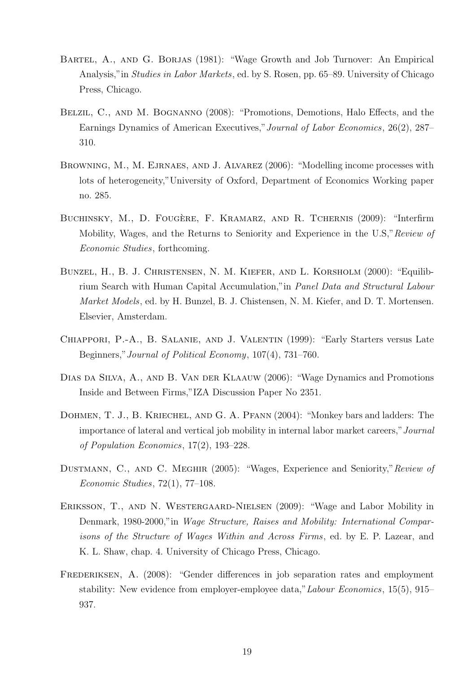- Bartel, A., and G. Borjas (1981): "Wage Growth and Job Turnover: An Empirical Analysis,"in Studies in Labor Markets, ed. by S. Rosen, pp. 65–89. University of Chicago Press, Chicago.
- Belzil, C., and M. Bognanno (2008): "Promotions, Demotions, Halo Effects, and the Earnings Dynamics of American Executives,"Journal of Labor Economics, 26(2), 287– 310.
- BROWNING, M., M. EJRNAES, AND J. ALVAREZ (2006): "Modelling income processes with lots of heterogeneity,"University of Oxford, Department of Economics Working paper no. 285.
- BUCHINSKY, M., D. FOUGÈRE, F. KRAMARZ, AND R. TCHERNIS (2009): "Interfirm Mobility, Wages, and the Returns to Seniority and Experience in the U.S." Review of Economic Studies, forthcoming.
- Bunzel, H., B. J. Christensen, N. M. Kiefer, and L. Korsholm (2000): "Equilibrium Search with Human Capital Accumulation,"in Panel Data and Structural Labour Market Models, ed. by H. Bunzel, B. J. Chistensen, N. M. Kiefer, and D. T. Mortensen. Elsevier, Amsterdam.
- CHIAPPORI, P.-A., B. SALANIE, AND J. VALENTIN (1999): "Early Starters versus Late Beginners,"Journal of Political Economy, 107(4), 731–760.
- Dias da Silva, A., and B. Van der Klaauw (2006): "Wage Dynamics and Promotions Inside and Between Firms,"IZA Discussion Paper No 2351.
- DOHMEN, T. J., B. KRIECHEL, AND G. A. PFANN (2004): "Monkey bars and ladders: The importance of lateral and vertical job mobility in internal labor market careers,"Journal of Population Economics, 17(2), 193–228.
- DUSTMANN, C., AND C. MEGHIR (2005): "Wages, Experience and Seniority," Review of Economic Studies, 72(1), 77–108.
- Eriksson, T., and N. Westergaard-Nielsen (2009): "Wage and Labor Mobility in Denmark, 1980-2000,"in Wage Structure, Raises and Mobility: International Comparisons of the Structure of Wages Within and Across Firms, ed. by E. P. Lazear, and K. L. Shaw, chap. 4. University of Chicago Press, Chicago.
- FREDERIKSEN, A. (2008): "Gender differences in job separation rates and employment stability: New evidence from employer-employee data,"Labour Economics, 15(5), 915– 937.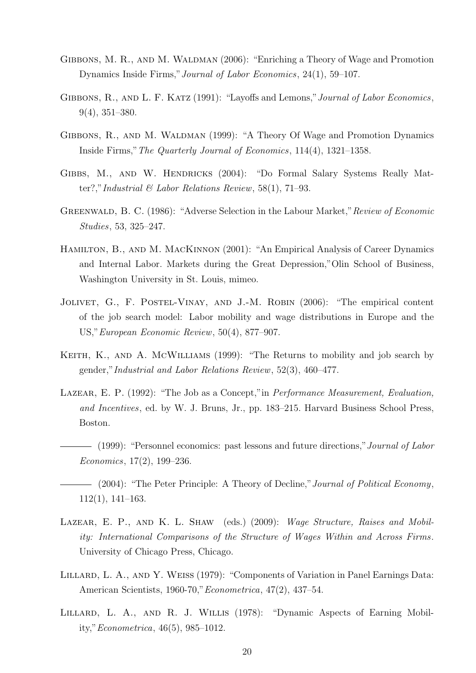- GIBBONS, M. R., AND M. WALDMAN (2006): "Enriching a Theory of Wage and Promotion Dynamics Inside Firms,"Journal of Labor Economics, 24(1), 59–107.
- GIBBONS, R., AND L. F. KATZ (1991): "Layoffs and Lemons," Journal of Labor Economics, 9(4), 351–380.
- GIBBONS, R., AND M. WALDMAN (1999): "A Theory Of Wage and Promotion Dynamics Inside Firms,"The Quarterly Journal of Economics, 114(4), 1321–1358.
- GIBBS, M., AND W. HENDRICKS (2004): "Do Formal Salary Systems Really Matter?,"Industrial  $\mathcal{B}$  Labor Relations Review, 58(1), 71–93.
- GREENWALD, B. C. (1986): "Adverse Selection in the Labour Market," Review of Economic Studies, 53, 325–247.
- Hamilton, B., and M. MacKinnon (2001): "An Empirical Analysis of Career Dynamics and Internal Labor. Markets during the Great Depression,"Olin School of Business, Washington University in St. Louis, mimeo.
- Jolivet, G., F. Postel-Vinay, and J.-M. Robin (2006): "The empirical content of the job search model: Labor mobility and wage distributions in Europe and the US,"European Economic Review, 50(4), 877–907.
- KEITH, K., AND A. MCWILLIAMS (1999): "The Returns to mobility and job search by gender,"Industrial and Labor Relations Review, 52(3), 460–477.
- LAZEAR, E. P. (1992): "The Job as a Concept," in *Performance Measurement, Evaluation*, and Incentives, ed. by W. J. Bruns, Jr., pp. 183–215. Harvard Business School Press, Boston.
- (1999): "Personnel economics: past lessons and future directions," Journal of Labor Economics, 17(2), 199–236.
- $-$  (2004): "The Peter Principle: A Theory of Decline," Journal of Political Economy, 112(1), 141–163.
- LAZEAR, E. P., AND K. L. SHAW (eds.) (2009): Wage Structure, Raises and Mobility: International Comparisons of the Structure of Wages Within and Across Firms. University of Chicago Press, Chicago.
- LILLARD, L. A., AND Y. WEISS (1979): "Components of Variation in Panel Earnings Data: American Scientists, 1960-70,"Econometrica, 47(2), 437–54.
- LILLARD, L. A., AND R. J. WILLIS (1978): "Dynamic Aspects of Earning Mobility,"Econometrica, 46(5), 985–1012.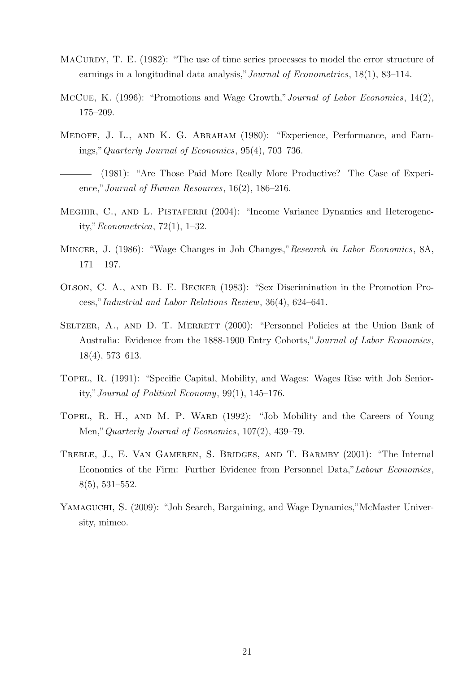- MACURDY, T. E. (1982): "The use of time series processes to model the error structure of earnings in a longitudinal data analysis,"Journal of Econometrics, 18(1), 83–114.
- McCue, K. (1996): "Promotions and Wage Growth,"Journal of Labor Economics, 14(2), 175–209.
- Medoff, J. L., and K. G. Abraham (1980): "Experience, Performance, and Earnings,"Quarterly Journal of Economics, 95(4), 703–736.
- (1981): "Are Those Paid More Really More Productive? The Case of Experience," Journal of Human Resources, 16(2), 186-216.
- MEGHIR, C., AND L. PISTAFERRI (2004): "Income Variance Dynamics and Heterogeneity,"Econometrica, 72(1), 1–32.
- MINCER, J. (1986): "Wage Changes in Job Changes," Research in Labor Economics, 8A, 171 – 197.
- Olson, C. A., and B. E. Becker (1983): "Sex Discrimination in the Promotion Process,"Industrial and Labor Relations Review, 36(4), 624–641.
- SELTZER, A., AND D. T. MERRETT (2000): "Personnel Policies at the Union Bank of Australia: Evidence from the 1888-1900 Entry Cohorts,"Journal of Labor Economics, 18(4), 573–613.
- Topel, R. (1991): "Specific Capital, Mobility, and Wages: Wages Rise with Job Seniority,"Journal of Political Economy, 99(1), 145–176.
- TOPEL, R. H., AND M. P. WARD (1992): "Job Mobility and the Careers of Young Men,"Quarterly Journal of Economics, 107(2), 439–79.
- Treble, J., E. Van Gameren, S. Bridges, and T. Barmby (2001): "The Internal Economics of the Firm: Further Evidence from Personnel Data,"Labour Economics, 8(5), 531–552.
- Yamaguchi, S. (2009): "Job Search, Bargaining, and Wage Dynamics,"McMaster University, mimeo.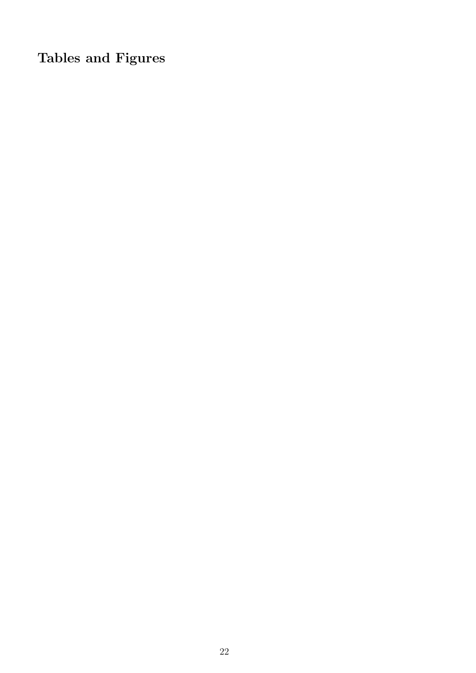Tables and Figures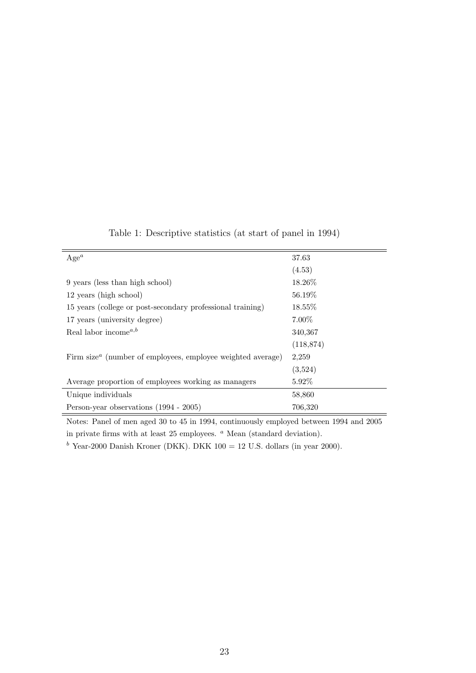| $Age^a$                                                                              | 37.63      |
|--------------------------------------------------------------------------------------|------------|
|                                                                                      | (4.53)     |
| 9 years (less than high school)                                                      | 18.26\%    |
| 12 years (high school)                                                               | 56.19\%    |
| 15 years (college or post-secondary professional training)                           | 18.55\%    |
| 17 years (university degree)                                                         | $7.00\%$   |
| Real labor income <sup><math>a,b</math></sup>                                        | 340,367    |
|                                                                                      | (118, 874) |
| Firm size <sup><math>a</math></sup> (number of employees, employee weighted average) | 2,259      |
|                                                                                      | (3,524)    |
| Average proportion of employees working as managers                                  | $5.92\%$   |
| Unique individuals                                                                   | 58,860     |
| Person-year observations (1994 - 2005)                                               | 706,320    |

<span id="page-22-0"></span>Table 1: Descriptive statistics (at start of panel in 1994)

Notes: Panel of men aged 30 to 45 in 1994, continuously employed between 1994 and 2005 in private firms with at least  $25$  employees.  $\alpha$  Mean (standard deviation).

 $b$  Year-2000 Danish Kroner (DKK). DKK 100 = 12 U.S. dollars (in year 2000).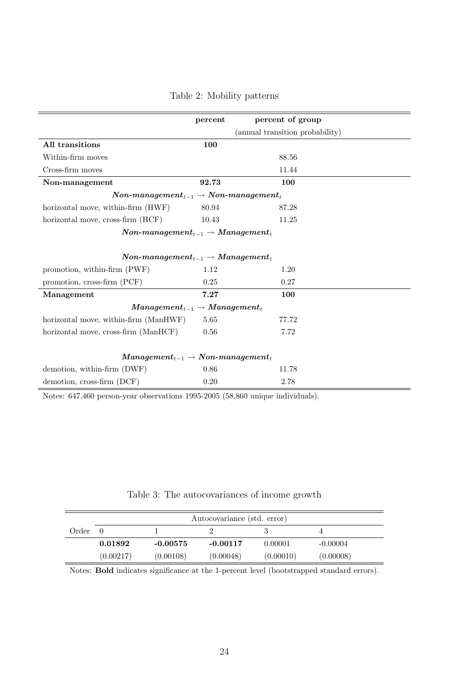|                                                                                  | percent                                         | percent of group                |  |  |  |  |
|----------------------------------------------------------------------------------|-------------------------------------------------|---------------------------------|--|--|--|--|
|                                                                                  |                                                 | (annual transition probability) |  |  |  |  |
| All transitions                                                                  | 100                                             |                                 |  |  |  |  |
| Within-firm moves                                                                |                                                 | 88.56                           |  |  |  |  |
| Cross-firm moves                                                                 |                                                 | 11.44                           |  |  |  |  |
| Non-management                                                                   | 92.73                                           | 100                             |  |  |  |  |
| $\textit{Non-management}_{t-1} \rightarrow \textit{Non-management}_{t}$          |                                                 |                                 |  |  |  |  |
| horizontal move, within-firm (HWF)                                               | 80.94                                           | 87.28                           |  |  |  |  |
| horizontal move, cross-firm (HCF)                                                | 10.43                                           | 11.25                           |  |  |  |  |
|                                                                                  | $Non-management_{t-1} \rightarrow Management_t$ |                                 |  |  |  |  |
|                                                                                  |                                                 |                                 |  |  |  |  |
| $\emph{Non-management}_{t-1} \rightarrow \emph{Management}_t$                    |                                                 |                                 |  |  |  |  |
| promotion, within-firm (PWF)                                                     | 1.12                                            | 1.20                            |  |  |  |  |
| promotion, cross-firm (PCF)                                                      | 0.25                                            | 0.27                            |  |  |  |  |
| Management                                                                       | 7.27                                            | 100                             |  |  |  |  |
| $Management_{t-1} \rightarrow Management_t$                                      |                                                 |                                 |  |  |  |  |
| horizontal move, within-firm (ManHWF)                                            | 5.65                                            | 77.72                           |  |  |  |  |
| horizontal move, cross-firm (ManHCF)                                             | 0.56                                            | 7.72                            |  |  |  |  |
|                                                                                  |                                                 |                                 |  |  |  |  |
| $\boldsymbol{Management_{t-1}} \rightarrow \boldsymbol{Non\text{-}management_t}$ |                                                 |                                 |  |  |  |  |
| demotion, within-firm (DWF)                                                      | 0.86                                            | 11.78                           |  |  |  |  |
| demotion, cross-firm (DCF)                                                       | 0.20                                            | 2.78                            |  |  |  |  |

## <span id="page-23-0"></span>Table 2: Mobility patterns

Notes: 647,460 person-year observations 1995-2005 (58,860 unique individuals).

## <span id="page-23-1"></span>Table 3: The autocovariances of income growth

|       | Autocovariance (std. error) |            |            |           |            |  |  |
|-------|-----------------------------|------------|------------|-----------|------------|--|--|
| Order |                             |            |            |           |            |  |  |
|       | 0.01892                     | $-0.00575$ | $-0.00117$ | 0.00001   | $-0.00004$ |  |  |
|       | (0.00217)                   | (0.00108)  | (0.00048)  | (0.00010) | (0.00008)  |  |  |

Notes: Bold indicates significance at the 1-percent level (bootstrapped standard errors).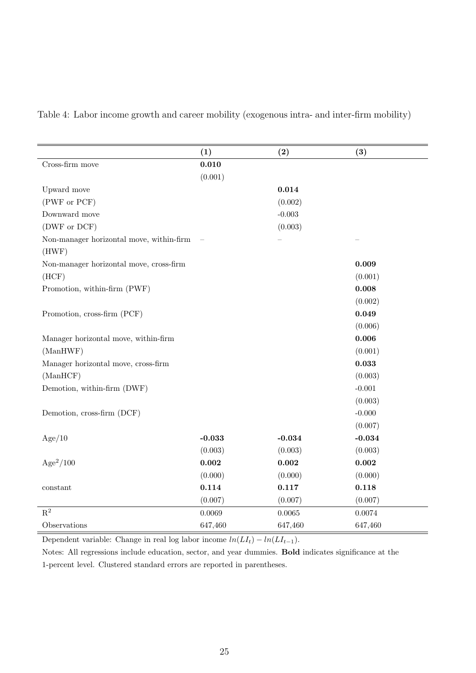<span id="page-24-0"></span>

| Table 4: Labor income growth and career mobility (exogenous intra- and inter-firm mobility) |  |  |  |
|---------------------------------------------------------------------------------------------|--|--|--|
|                                                                                             |  |  |  |

|                                                   | (1)      | (2)      | (3)      |
|---------------------------------------------------|----------|----------|----------|
| Cross-firm move                                   | 0.010    |          |          |
|                                                   | (0.001)  |          |          |
| Upward move                                       |          | 0.014    |          |
| (PWF or PCF)                                      |          | (0.002)  |          |
| Downward move                                     |          | $-0.003$ |          |
| (DWF or DCF)                                      |          | (0.003)  |          |
| Non-manager horizontal move, within-firm<br>(HWF) |          |          |          |
| Non-manager horizontal move, cross-firm           |          |          | 0.009    |
| (HCF)                                             |          |          | (0.001)  |
| Promotion, within-firm (PWF)                      |          |          | 0.008    |
|                                                   |          |          | (0.002)  |
| Promotion, cross-firm (PCF)                       |          |          | 0.049    |
|                                                   |          |          | (0.006)  |
| Manager horizontal move, within-firm              |          |          | 0.006    |
| (ManHWF)                                          |          |          | (0.001)  |
| Manager horizontal move, cross-firm               |          |          | 0.033    |
| (ManHCF)                                          |          |          | (0.003)  |
| Demotion, within-firm (DWF)                       |          |          | $-0.001$ |
|                                                   |          |          | (0.003)  |
| Demotion, cross-firm (DCF)                        |          |          | $-0.000$ |
|                                                   |          |          | (0.007)  |
| Age/10                                            | $-0.033$ | $-0.034$ | $-0.034$ |
|                                                   | (0.003)  | (0.003)  | (0.003)  |
| $Age^2/100$                                       | 0.002    | 0.002    | 0.002    |
|                                                   | (0.000)  | (0.000)  | (0.000)  |
| constant                                          | 0.114    | 0.117    | 0.118    |
|                                                   | (0.007)  | (0.007)  | (0.007)  |
| $\mathbf{R}^2$                                    | 0.0069   | 0.0065   | 0.0074   |
| Observations                                      | 647,460  | 647,460  | 647,460  |

Dependent variable: Change in real log labor income  $ln(LI_t) - ln(LI_{t-1})$ .

Notes: All regressions include education, sector, and year dummies. Bold indicates significance at the 1-percent level. Clustered standard errors are reported in parentheses.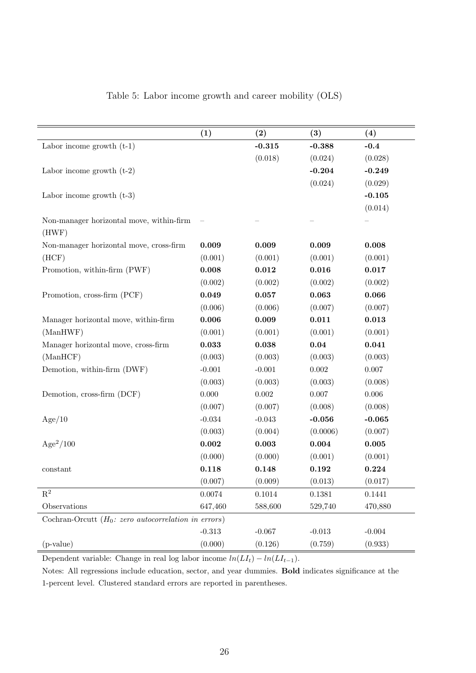|                                                              | (1)      | (2)      | (3)       | (4)       |
|--------------------------------------------------------------|----------|----------|-----------|-----------|
| Labor income growth $(t-1)$                                  |          | $-0.315$ | $-0.388$  | $-0.4$    |
|                                                              |          | (0.018)  | (0.024)   | (0.028)   |
| Labor income growth $(t-2)$                                  |          |          | $-0.204$  | $-0.249$  |
|                                                              |          |          | (0.024)   | (0.029)   |
| Labor income growth $(t-3)$                                  |          |          |           | $-0.105$  |
|                                                              |          |          |           | (0.014)   |
| Non-manager horizontal move, within-firm<br>(HWF)            |          |          |           |           |
| Non-manager horizontal move, cross-firm                      | 0.009    | 0.009    | 0.009     | 0.008     |
| (HCF)                                                        | (0.001)  | (0.001)  | (0.001)   | (0.001)   |
| Promotion, within-firm (PWF)                                 | 0.008    | 0.012    | 0.016     | 0.017     |
|                                                              | (0.002)  | (0.002)  | (0.002)   | (0.002)   |
| Promotion, cross-firm (PCF)                                  | 0.049    | 0.057    | 0.063     | 0.066     |
|                                                              | (0.006)  | (0.006)  | (0.007)   | (0.007)   |
| Manager horizontal move, within-firm                         | 0.006    | 0.009    | 0.011     | 0.013     |
| (ManHWF)                                                     | (0.001)  | (0.001)  | (0.001)   | (0.001)   |
| Manager horizontal move, cross-firm                          | 0.033    | 0.038    | 0.04      | 0.041     |
| (ManHCF)                                                     | (0.003)  | (0.003)  | (0.003)   | (0.003)   |
| Demotion, within-firm (DWF)                                  | $-0.001$ | $-0.001$ | $0.002\,$ | $0.007\,$ |
|                                                              | (0.003)  | (0.003)  | (0.003)   | (0.008)   |
| Demotion, cross-firm (DCF)                                   | 0.000    | 0.002    | $0.007\,$ | $0.006\,$ |
|                                                              | (0.007)  | (0.007)  | (0.008)   | (0.008)   |
| Age/10                                                       | $-0.034$ | $-0.043$ | $-0.056$  | $-0.065$  |
|                                                              | (0.003)  | (0.004)  | (0.0006)  | (0.007)   |
| $Age^2/100$                                                  | 0.002    | 0.003    | 0.004     | 0.005     |
|                                                              | (0.000)  | (0.000)  | (0.001)   | (0.001)   |
| constant                                                     | 0.118    | 0.148    | 0.192     | 0.224     |
|                                                              | (0.007)  | (0.009)  | (0.013)   | (0.017)   |
| $\mathbf{R}^2$                                               | 0.0074   | 0.1014   | 0.1381    | 0.1441    |
| Observations                                                 | 647,460  | 588,600  | 529,740   | 470,880   |
| Cochran-Orcutt $(H_0: zero \ autocorrelation \ in \ errors)$ |          |          |           |           |
|                                                              | $-0.313$ | $-0.067$ | $-0.013$  | $-0.004$  |
| $(p-value)$                                                  | (0.000)  | (0.126)  | (0.759)   | (0.933)   |

<span id="page-25-0"></span>Table 5: Labor income growth and career mobility (OLS)

Dependent variable: Change in real log labor income  $ln(LI_t) - ln(LI_{t-1})$ .

Notes: All regressions include education, sector, and year dummies. Bold indicates significance at the 1-percent level. Clustered standard errors are reported in parentheses.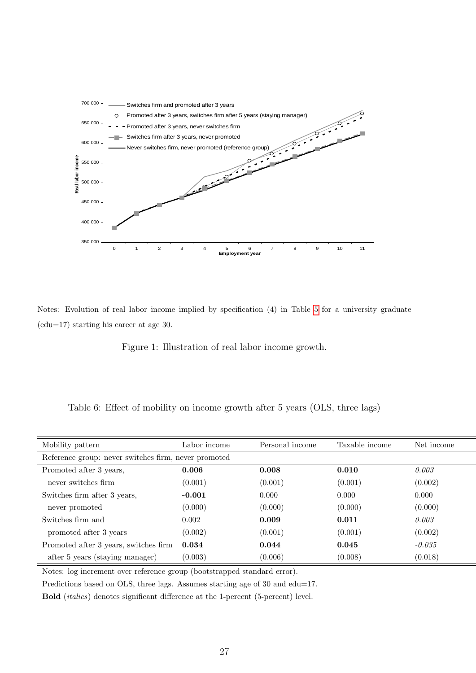

Notes: Evolution of real labor income implied by specification (4) in Table [5](#page-25-0) for a university graduate (edu=17) starting his career at age 30.

<span id="page-26-1"></span>Figure 1: Illustration of real labor income growth.

<span id="page-26-0"></span>Table 6: Effect of mobility on income growth after 5 years (OLS, three lags)

| Mobility pattern                                     | Labor income | Personal income | Taxable income | Net income |  |
|------------------------------------------------------|--------------|-----------------|----------------|------------|--|
| Reference group: never switches firm, never promoted |              |                 |                |            |  |
| Promoted after 3 years,                              | 0.006        | 0.008           | 0.010          | 0.003      |  |
| never switches firm                                  | (0.001)      | (0.001)         | (0.001)        | (0.002)    |  |
| Switches firm after 3 years,                         | $-0.001$     | 0.000           | 0.000          | 0.000      |  |
| never promoted                                       | (0.000)      | (0.000)         | (0.000)        | (0.000)    |  |
| Switches firm and                                    | 0.002        | 0.009           | 0.011          | 0.003      |  |
| promoted after 3 years                               | (0.002)      | (0.001)         | (0.001)        | (0.002)    |  |
| Promoted after 3 years, switches firm                | 0.034        | 0.044           | 0.045          | $-0.035$   |  |
| after 5 years (staying manager)                      | (0.003)      | (0.006)         | (0.008)        | (0.018)    |  |

Notes: log increment over reference group (bootstrapped standard error).

Predictions based on OLS, three lags. Assumes starting age of 30 and edu=17.

Bold (*italics*) denotes significant difference at the 1-percent (5-percent) level.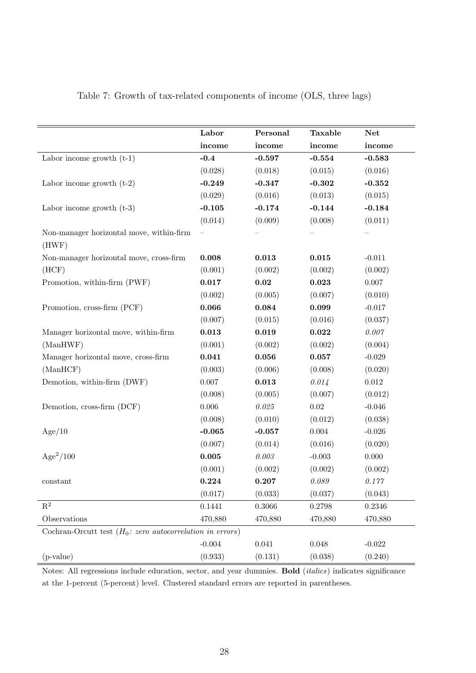|                                                                   | Labor     | Personal    | <b>Taxable</b> | <b>Net</b> |
|-------------------------------------------------------------------|-----------|-------------|----------------|------------|
|                                                                   | income    | income      | income         | income     |
| Labor income growth $(t-1)$                                       | $-0.4$    | $-0.597$    | $-0.554$       | $-0.583$   |
|                                                                   | (0.028)   | (0.018)     | (0.015)        | (0.016)    |
| Labor income growth $(t-2)$                                       | $-0.249$  | $-0.347$    | $-0.302$       | $-0.352$   |
|                                                                   | (0.029)   | (0.016)     | (0.013)        | (0.015)    |
| Labor income growth $(t-3)$                                       | $-0.105$  | $-0.174$    | $-0.144$       | $-0.184$   |
|                                                                   | (0.014)   | (0.009)     | (0.008)        | (0.011)    |
| Non-manager horizontal move, within-firm<br>(HWF)                 |           |             |                |            |
| Non-manager horizontal move, cross-firm                           | 0.008     | 0.013       | $\bf 0.015$    | $-0.011$   |
| (HCF)                                                             | (0.001)   | (0.002)     | (0.002)        | (0.002)    |
| Promotion, within-firm (PWF)                                      | 0.017     | $\bf 0.02$  | 0.023          | $0.007\,$  |
|                                                                   | (0.002)   | (0.005)     | (0.007)        | (0.010)    |
| Promotion, cross-firm (PCF)                                       | 0.066     | 0.084       | 0.099          | $-0.017$   |
|                                                                   | (0.007)   | (0.015)     | (0.016)        | (0.037)    |
| Manager horizontal move, within-firm                              | 0.013     | 0.019       | 0.022          | 0.007      |
| (ManHWF)                                                          | (0.001)   | (0.002)     | (0.002)        | (0.004)    |
| Manager horizontal move, cross-firm                               | 0.041     | 0.056       | 0.057          | $-0.029$   |
| (ManHCF)                                                          | (0.003)   | (0.006)     | (0.008)        | (0.020)    |
| Demotion, within-firm (DWF)                                       | $0.007\,$ | 0.013       | 0.014          | $0.012\,$  |
|                                                                   | (0.008)   | (0.005)     | (0.007)        | (0.012)    |
| Demotion, cross-firm (DCF)                                        | $0.006\,$ | $0.025\,$   | $0.02\,$       | $-0.046$   |
|                                                                   | (0.008)   | (0.010)     | (0.012)        | (0.038)    |
| Age/10                                                            | $-0.065$  | $-0.057$    | $0.004\,$      | $-0.026$   |
|                                                                   | (0.007)   | (0.014)     | (0.016)        | (0.020)    |
| $Age^2/100$                                                       | 0.005     | $0.003\,$   | $-0.003$       | $0.000\,$  |
|                                                                   | (0.001)   | (0.002)     | (0.002)        | (0.002)    |
| constant                                                          | 0.224     | 0.207       | 0.089          | 0.177      |
|                                                                   | (0.017)   | (0.033)     | (0.037)        | (0.043)    |
| $\mathbf{R}^2$                                                    | 0.1441    | 0.3066      | 0.2798         | 0.2346     |
| Observations                                                      | 470,880   | 470,880     | 470,880        | 470,880    |
| Cochran-Orcutt test $(H_0: zero \ autocorrelation \ in \ errors)$ |           |             |                |            |
|                                                                   | $-0.004$  | $\,0.041\,$ | 0.048          | $-0.022$   |
| $(p-value)$                                                       | (0.933)   | (0.131)     | (0.038)        | (0.240)    |

<span id="page-27-0"></span>Table 7: Growth of tax-related components of income (OLS, three lags)

Notes: All regressions include education, sector, and year dummies. Bold (italics) indicates significance at the 1-percent (5-percent) level. Clustered standard errors are reported in parentheses.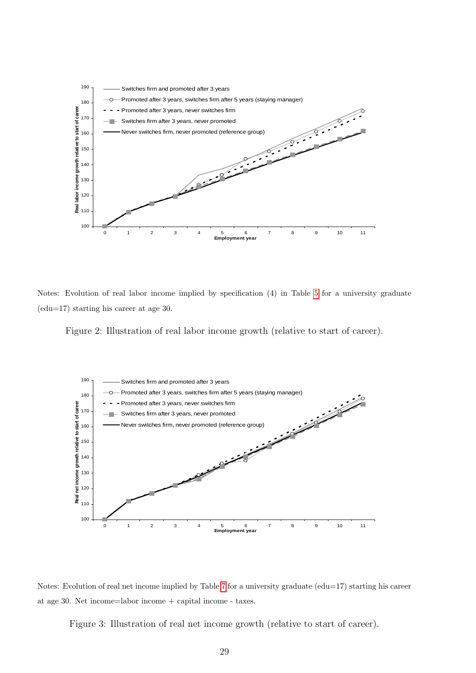

Notes: Evolution of real labor income implied by specification (4) in Table [5](#page-25-0) for a university graduate (edu=17) starting his career at age 30.

<span id="page-28-0"></span>Figure 2: Illustration of real labor income growth (relative to start of career).



Notes: Evolution of real net income implied by Table [7](#page-27-0) for a university graduate (edu=17) starting his career at age 30. Net income=labor income + capital income - taxes.

<span id="page-28-1"></span>Figure 3: Illustration of real net income growth (relative to start of career).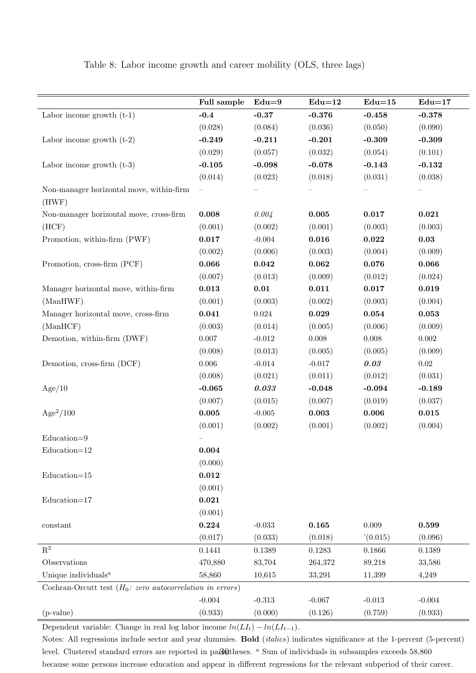|                                                                   | Full sample          | $Edu=9$             | $Edu=12$  | $Edu=15$  | $Edu=17$            |
|-------------------------------------------------------------------|----------------------|---------------------|-----------|-----------|---------------------|
| Labor income growth $(t-1)$                                       | $-0.4$               | $-0.37$             | $-0.376$  | $-0.458$  | $-0.378$            |
|                                                                   | (0.028)              | (0.084)             | (0.036)   | (0.050)   | (0.090)             |
| Labor income growth $(t-2)$                                       | $-0.249$             | $-0.211$            | $-0.201$  | $-0.309$  | $-0.309$            |
|                                                                   | (0.029)              | (0.057)             | (0.032)   | (0.054)   | (0.101)             |
| Labor income growth $(t-3)$                                       | $-0.105$             | $-0.098$            | $-0.078$  | $-0.143$  | $-0.132$            |
|                                                                   | (0.014)              | (0.023)             | (0.018)   | (0.031)   | (0.038)             |
| Non-manager horizontal move, within-firm                          |                      |                     |           |           |                     |
| (HWF)                                                             |                      |                     |           |           |                     |
| Non-manager horizontal move, cross-firm                           | 0.008                | 0.004               | 0.005     | 0.017     | 0.021               |
| (HCF)                                                             | (0.001)              | (0.002)             | (0.001)   | (0.003)   | (0.003)             |
| Promotion, within-firm (PWF)                                      | 0.017                | $-0.004$            | 0.016     | 0.022     | $\boldsymbol{0.03}$ |
|                                                                   | (0.002)              | (0.006)             | (0.003)   | (0.004)   | (0.009)             |
| Promotion, cross-firm (PCF)                                       | 0.066                | 0.042               | 0.062     | 0.076     | 0.066               |
|                                                                   | (0.007)              | (0.013)             | (0.009)   | (0.012)   | (0.024)             |
| Manager horizontal move, within-firm                              | 0.013                | $\boldsymbol{0.01}$ | 0.011     | 0.017     | 0.019               |
| (ManHWF)                                                          | (0.001)              | (0.003)             | (0.002)   | (0.003)   | (0.004)             |
| Manager horizontal move, cross-firm                               | 0.041                | $0.024\,$           | 0.029     | 0.054     | 0.053               |
| (ManHCF)                                                          | (0.003)              | (0.014)             | (0.005)   | (0.006)   | (0.009)             |
| Demotion, within-firm (DWF)                                       | $0.007\,$            | $-0.012$            | $0.008\,$ | $0.008\,$ | $0.002\,$           |
|                                                                   | (0.008)              | (0.013)             | (0.005)   | (0.005)   | (0.009)             |
| Demotion, cross-firm (DCF)                                        | $0.006\,$            | $-0.014$            | $-0.017$  | 0.03      | $0.02\,$            |
|                                                                   | (0.008)              | (0.021)             | (0.011)   | (0.012)   | (0.031)             |
| Age/10                                                            | $-0.065$             | 0.033               | $-0.048$  | $-0.094$  | $-0.189$            |
|                                                                   | (0.007)              | (0.015)             | (0.007)   | (0.019)   | (0.037)             |
| $Age^2/100$                                                       | 0.005                | $-0.005$            | 0.003     | 0.006     | 0.015               |
|                                                                   | (0.001)              | (0.002)             | (0.001)   | (0.002)   | (0.004)             |
| $Education=9$                                                     |                      |                     |           |           |                     |
| $Education=12$                                                    | $\boldsymbol{0.004}$ |                     |           |           |                     |
|                                                                   | (0.000)              |                     |           |           |                     |
| $Education=15$                                                    | $\bf 0.012$          |                     |           |           |                     |
|                                                                   | (0.001)              |                     |           |           |                     |
| $Education=17$                                                    | 0.021                |                     |           |           |                     |
|                                                                   | (0.001)              |                     |           |           |                     |
| constant                                                          | 0.224                | $-0.033$            | 0.165     | $0.009\,$ | 0.599               |
|                                                                   | (0.017)              | (0.033)             | (0.018)   | (0.015)   | (0.096)             |
| $\mathbf{R}^2$                                                    | 0.1441               | 0.1389              | 0.1283    | 0.1866    | 0.1389              |
| Observations                                                      | 470,880              | 83,704              | 264,372   | 89,218    | 33,586              |
| Unique individuals $a$                                            | 58,860               | 10,615              | 33,291    | 11,399    | 4,249               |
| Cochran-Orcutt test $(H_0: zero \ autocorrelation \ in \ errors)$ |                      |                     |           |           |                     |
|                                                                   | $-0.004$             | $-0.313$            | $-0.067$  | $-0.013$  | $-0.004$            |
| $(p-value)$                                                       | (0.933)              | (0.000)             | (0.126)   | (0.759)   | (0.933)             |

<span id="page-29-0"></span>Table 8: Labor income growth and career mobility (OLS, three lags)

Dependent variable: Change in real log labor income  $ln(LI_t) - ln(LI_{t-1})$ .

Notes: All regressions include sector and year dummies. Bold (italics) indicates significance at the 1-percent (5-percent) level. Clustered standard errors are reported in parentheses. <sup>a</sup> Sum of individuals in subsamples exceeds 58,860 because some persons increase education and appear in different regressions for the relevant subperiod of their career.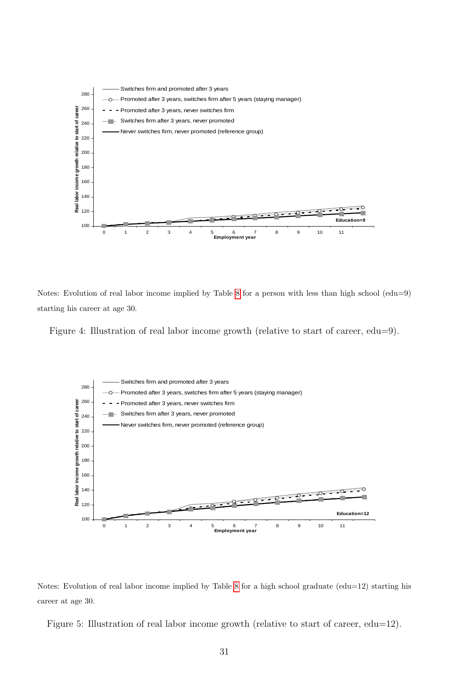

Notes: Evolution of real labor income implied by Table [8](#page-29-0) for a person with less than high school (edu=9) starting his career at age 30.

<span id="page-30-0"></span>Figure 4: Illustration of real labor income growth (relative to start of career, edu=9).





<span id="page-30-1"></span>Figure 5: Illustration of real labor income growth (relative to start of career, edu=12).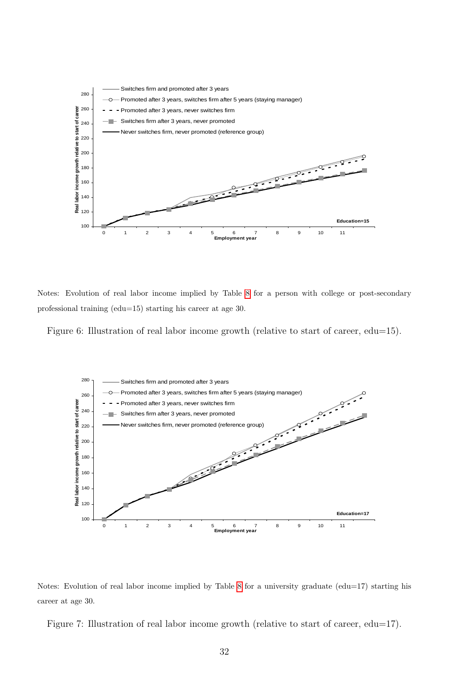

Notes: Evolution of real labor income implied by Table [8](#page-29-0) for a person with college or post-secondary professional training (edu=15) starting his career at age 30.

<span id="page-31-1"></span>Figure 6: Illustration of real labor income growth (relative to start of career, edu=15).





<span id="page-31-0"></span>Figure 7: Illustration of real labor income growth (relative to start of career, edu=17).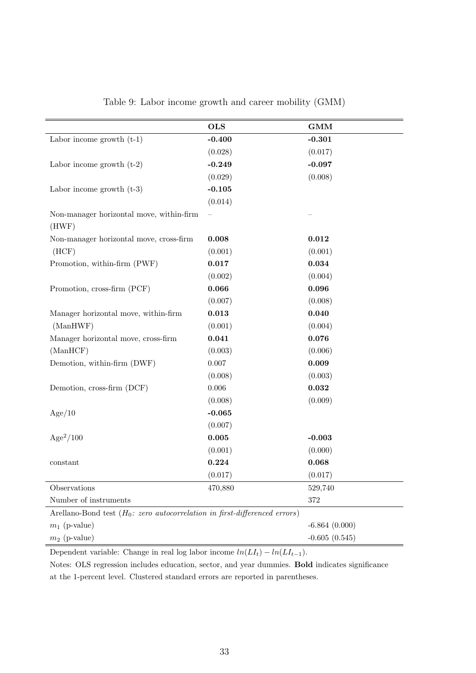|                                                                                      | <b>OLS</b>           | <b>GMM</b>      |
|--------------------------------------------------------------------------------------|----------------------|-----------------|
| Labor income growth $(t-1)$                                                          | $-0.400$             | $-0.301$        |
|                                                                                      | (0.028)              | (0.017)         |
| Labor income growth $(t-2)$                                                          | $-0.249$             | $-0.097$        |
|                                                                                      | (0.029)              | (0.008)         |
| Labor income growth $(t-3)$                                                          | $-0.105$             |                 |
|                                                                                      | (0.014)              |                 |
| Non-manager horizontal move, within-firm<br>(HWF)                                    |                      |                 |
| Non-manager horizontal move, cross-firm                                              | 0.008                | 0.012           |
| (HCF)                                                                                | (0.001)              | (0.001)         |
| Promotion, within-firm (PWF)                                                         | 0.017                | 0.034           |
|                                                                                      | (0.002)              | (0.004)         |
| Promotion, cross-firm (PCF)                                                          | 0.066                | 0.096           |
|                                                                                      | (0.007)              | (0.008)         |
| Manager horizontal move, within-firm                                                 | $\boldsymbol{0.013}$ | 0.040           |
| (ManHWF)                                                                             | (0.001)              | (0.004)         |
| Manager horizontal move, cross-firm                                                  | 0.041                | 0.076           |
| (ManHCF)                                                                             | (0.003)              | (0.006)         |
| Demotion, within-firm (DWF)                                                          | 0.007                | 0.009           |
|                                                                                      | (0.008)              | (0.003)         |
| Demotion, cross-firm (DCF)                                                           | $0.006\,$            | 0.032           |
|                                                                                      | (0.008)              | (0.009)         |
| Age/10                                                                               | $-0.065$             |                 |
|                                                                                      | (0.007)              |                 |
| $Age^2/100$                                                                          | 0.005                | $-0.003$        |
|                                                                                      | (0.001)              | (0.000)         |
| constant                                                                             | 0.224                | 0.068           |
|                                                                                      | (0.017)              | (0.017)         |
| Observations                                                                         | 470,880              | 529,740         |
| Number of instruments                                                                |                      | $372\,$         |
| Arellano-Bond test $(H_0: zero \ autocorrelation \ in \ first\-difference \ errors)$ |                      |                 |
| $m_1$ (p-value)                                                                      |                      | $-6.864(0.000)$ |

<span id="page-32-0"></span>Table 9: Labor income growth and career mobility (GMM)

Dependent variable: Change in real log labor income  $ln(LI_t) - ln(LI_{t-1})$ .

Notes: OLS regression includes education, sector, and year dummies. Bold indicates significance at the 1-percent level. Clustered standard errors are reported in parentheses.

 $m_2$  (p-value)  $-0.605$  (0.545)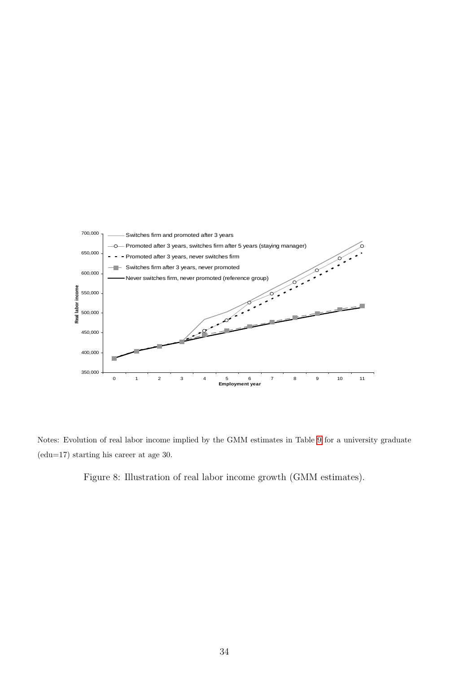

Notes: Evolution of real labor income implied by the GMM estimates in Table [9](#page-32-0) for a university graduate (edu=17) starting his career at age 30.

<span id="page-33-0"></span>Figure 8: Illustration of real labor income growth (GMM estimates).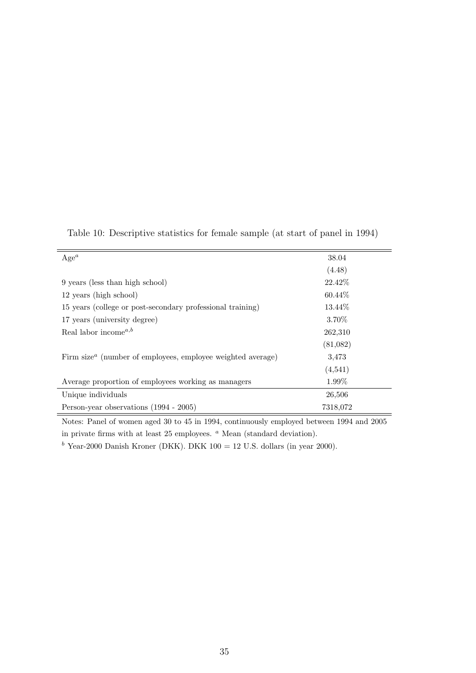| $Age^a$                                                                              | 38.04     |  |
|--------------------------------------------------------------------------------------|-----------|--|
|                                                                                      | (4.48)    |  |
| 9 years (less than high school)                                                      | 22.42\%   |  |
| 12 years (high school)                                                               | $60.44\%$ |  |
| 15 years (college or post-secondary professional training)                           | 13.44\%   |  |
| 17 years (university degree)                                                         | 3.70%     |  |
| Real labor income <sup><math>a,b</math></sup>                                        | 262,310   |  |
|                                                                                      | (81,082)  |  |
| Firm size <sup><math>a</math></sup> (number of employees, employee weighted average) | 3,473     |  |
|                                                                                      | (4,541)   |  |
| Average proportion of employees working as managers                                  | 1.99%     |  |
| Unique individuals                                                                   | 26,506    |  |
| Person-year observations (1994 - 2005)                                               | 7318,072  |  |

<span id="page-34-0"></span>Table 10: Descriptive statistics for female sample (at start of panel in 1994)

Notes: Panel of women aged 30 to 45 in 1994, continuously employed between 1994 and 2005 in private firms with at least  $25$  employees.  $\alpha$  Mean (standard deviation).

 $b$  Year-2000 Danish Kroner (DKK). DKK 100 = 12 U.S. dollars (in year 2000).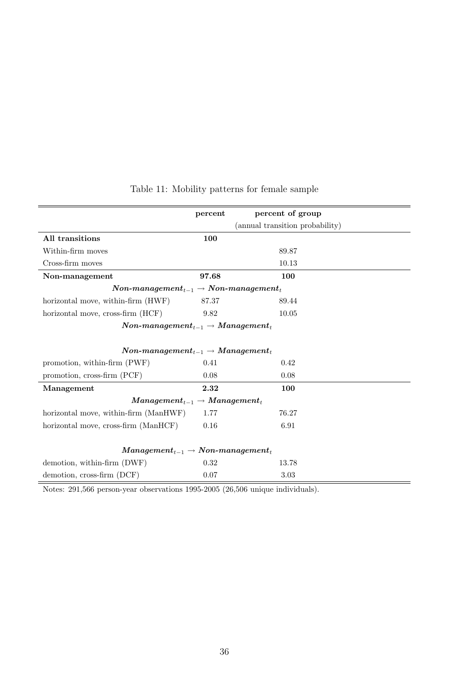|                                                                                  | percent | percent of group                |  |
|----------------------------------------------------------------------------------|---------|---------------------------------|--|
|                                                                                  |         | (annual transition probability) |  |
| All transitions                                                                  | 100     |                                 |  |
| Within-firm moves                                                                |         | 89.87                           |  |
| Cross-firm moves                                                                 |         | 10.13                           |  |
| Non-management                                                                   | 97.68   | 100                             |  |
| $\textit{Non-management}_{t-1} \rightarrow \textit{Non-management}_{t}$          |         |                                 |  |
| horizontal move, within-firm (HWF)                                               | 87.37   | 89.44                           |  |
| horizontal move, cross-firm (HCF)                                                | 9.82    | 10.05                           |  |
| $\bm{Non\text{-}management}_{t-1} \rightarrow \bm{Management}_t$                 |         |                                 |  |
|                                                                                  |         |                                 |  |
| $\emph{Non-management}_{t-1} \rightarrow \emph{Management}_t$                    |         |                                 |  |
| promotion, within-firm (PWF)                                                     | 0.41    | 0.42                            |  |
| promotion, cross-firm (PCF)                                                      | 0.08    | 0.08                            |  |
| Management                                                                       | 2.32    | 100                             |  |
| $Management_{t-1} \rightarrow Management_t$                                      |         |                                 |  |
| horizontal move, within-firm (ManHWF)                                            | 1.77    | 76.27                           |  |
| horizontal move, cross-firm (ManHCF)                                             | 0.16    | 6.91                            |  |
|                                                                                  |         |                                 |  |
| $\boldsymbol{Management_{t-1}} \rightarrow \boldsymbol{Non\text{-}management_t}$ |         |                                 |  |
| demotion, within-firm (DWF)                                                      | 0.32    | 13.78                           |  |
| demotion, cross-firm (DCF)                                                       | 0.07    | 3.03                            |  |

# <span id="page-35-0"></span>Table 11: Mobility patterns for female sample

Notes: 291,566 person-year observations 1995-2005 (26,506 unique individuals).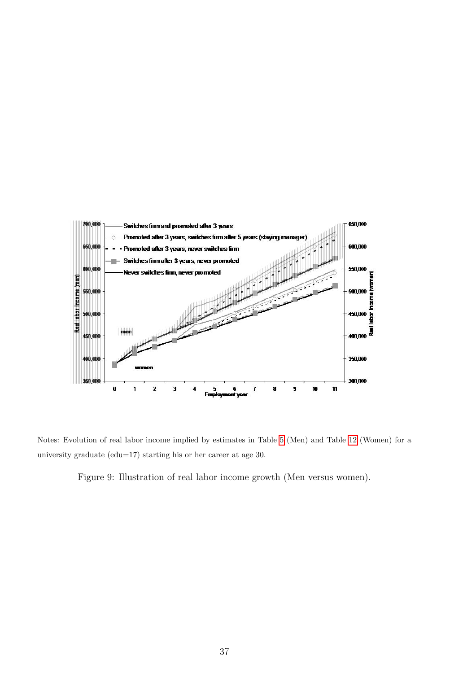

Notes: Evolution of real labor income implied by estimates in Table [5](#page-25-0) (Men) and Table [12](#page-37-0) (Women) for a university graduate (edu=17) starting his or her career at age 30.

<span id="page-36-0"></span>Figure 9: Illustration of real labor income growth (Men versus women).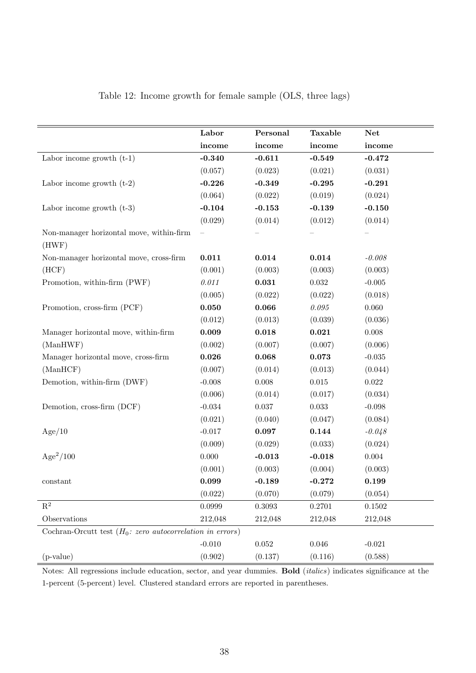|                                                                   | Labor       | Personal  | <b>Taxable</b> | <b>Net</b> |
|-------------------------------------------------------------------|-------------|-----------|----------------|------------|
|                                                                   | income      | income    | income         | income     |
| Labor income growth $(t-1)$                                       | $-0.340$    | $-0.611$  | $-0.549$       | $-0.472$   |
|                                                                   | (0.057)     | (0.023)   | (0.021)        | (0.031)    |
| Labor income growth $(t-2)$                                       | $-0.226$    | $-0.349$  | $-0.295$       | $-0.291$   |
|                                                                   | (0.064)     | (0.022)   | (0.019)        | (0.024)    |
| Labor income growth $(t-3)$                                       | $-0.104$    | $-0.153$  | $-0.139$       | $-0.150$   |
|                                                                   | (0.029)     | (0.014)   | (0.012)        | (0.014)    |
| Non-manager horizontal move, within-firm<br>(HWF)                 |             |           |                |            |
| Non-manager horizontal move, cross-firm                           | 0.011       | 0.014     | 0.014          | $-0.008$   |
| (HCF)                                                             | (0.001)     | (0.003)   | (0.003)        | (0.003)    |
| Promotion, within-firm (PWF)                                      | 0.011       | 0.031     | 0.032          | $-0.005$   |
|                                                                   | (0.005)     | (0.022)   | (0.022)        | (0.018)    |
| Promotion, cross-firm (PCF)                                       | 0.050       | 0.066     | $\it 0.095$    | $0.060\,$  |
|                                                                   | (0.012)     | (0.013)   | (0.039)        | (0.036)    |
| Manager horizontal move, within-firm                              | 0.009       | 0.018     | 0.021          | $0.008\,$  |
| (ManHWF)                                                          | (0.002)     | (0.007)   | (0.007)        | (0.006)    |
| Manager horizontal move, cross-firm                               | $\bf 0.026$ | 0.068     | 0.073          | $-0.035$   |
| (ManHCF)                                                          | (0.007)     | (0.014)   | (0.013)        | (0.044)    |
| Demotion, within-firm (DWF)                                       | $-0.008$    | $0.008\,$ | $\,0.015\,$    | 0.022      |
|                                                                   | (0.006)     | (0.014)   | (0.017)        | (0.034)    |
| Demotion, cross-firm (DCF)                                        | $-0.034$    | $0.037\,$ | $\,0.033\,$    | $-0.098$   |
|                                                                   | (0.021)     | (0.040)   | (0.047)        | (0.084)    |
| Age/10                                                            | $-0.017$    | 0.097     | 0.144          | $-0.048$   |
|                                                                   | (0.009)     | (0.029)   | (0.033)        | (0.024)    |
| $Age^2/100$                                                       | 0.000       | $-0.013$  | $-0.018$       | $0.004\,$  |
|                                                                   | (0.001)     | (0.003)   | (0.004)        | (0.003)    |
| constant                                                          | 0.099       | $-0.189$  | $-0.272$       | 0.199      |
|                                                                   | (0.022)     | (0.070)   | (0.079)        | (0.054)    |
| $\mathbf{R}^2$                                                    | 0.0999      | 0.3093    | 0.2701         | 0.1502     |
| Observations                                                      | 212,048     | 212,048   | 212,048        | 212,048    |
| Cochran-Orcutt test $(H_0: zero \ autocorrelation \ in \ errors)$ |             |           |                |            |
|                                                                   | $-0.010$    | $0.052\,$ | 0.046          | $-0.021$   |
| $(p-value)$                                                       | (0.902)     | (0.137)   | (0.116)        | (0.588)    |

## <span id="page-37-0"></span>Table 12: Income growth for female sample (OLS, three lags)

Notes: All regressions include education, sector, and year dummies. Bold (italics) indicates significance at the 1-percent (5-percent) level. Clustered standard errors are reported in parentheses.